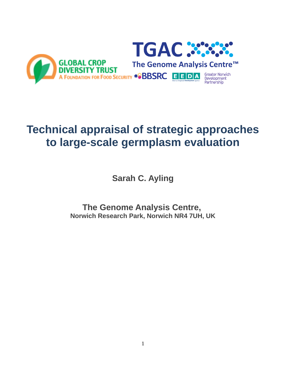

# **Technical appraisal of strategic approaches to large-scale germplasm evaluation**

**Sarah C. Ayling**

**The Genome Analysis Centre, Norwich Research Park, Norwich NR4 7UH, UK**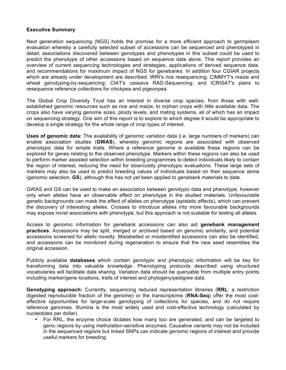### **Executive Summary**

Next generation sequencing (NGS) holds the promise for a more efficient approach to germplasm evaluation whereby a carefully selected subset of accessions can be sequenced and phenotyped in detail; associations discovered between genotypes and phenotypes in this subset could be used to predict the phenotype of other accessions based on sequence data alone. This report provides an overview of current sequencing technologies and strategies, applications of derived sequence data, and recommendations for maximum impact of NGS for genebanks. In addition four CGIAR projects which are already under development are described: IRRI's rice resequencing; CIMMYT's maize and wheat genotyping-by-sequencing; CIAT's cassava RAD-Sequencing; and ICRISAT's plans to resequence reference collections for chickpea and pigeonpea.

The Global Crop Diversity Trust has an interest in diverse crop species, from those with wellestablished genomic resources such as rice and maize, to orphan crops with little available data. The crops also have varying genome sizes, ploidy levels, and mating systems, all of which has an impact on sequencing strategy. One aim of this report is to explore to which degree it would be appropriate to develop a single strategy for the whole range of crop types of interest.

**Uses of genomic data:** The availability of genomic variation data (i.e. large numbers of markers) can enable association studies (**GWAS**), whereby genomic regions are associated with observed phenotypic data for simple traits. Where a reference genome is available these regions can be explored for genes relating to the observed phenotype. Markers within these regions can also be used to perform marker assisted selection within breeding programmes to detect individuals likely to contain the region of interest, reducing the need for slow/costly phenotypic evaluations. These large sets of markers may also be used to predict breeding values of individuals based on their sequence alone (genomic selection, **GS**), although this has not yet been applied to genebank materials to date.

GWAS and GS can be used to make an association between genotypic data and phenotype, however only when alleles have an observable effect on phenotype in the studied materials. Unfavourable genetic backgrounds can mask the effect of alleles on phenotype (epistatic effects), which can prevent the discovery of interesting alleles. Crosses to introduce alleles into more favourable backgrounds may expose novel associations with phenotype, but this approach is not scalable for testing all alleles.

Access to genomic information for genebank accessions can also aid **genebank management practices**. Accessions may be split, merged or archived based on genomic similarity, and potential accessions screened for allelic novelty. Mislabelled or misidentified accessions can also be identified, and accessions can be monitored during regeneration to ensure that the new seed resembles the original accession.

Publicly available **databases** which contain genotypic and phenotypic information will be key for transforming data into valuable knowledge. Phenotyping protocols described using structured vocabularies will facilitate data sharing. Variation data should be queryable from multiple entry points including marker/gene locations, traits of interest and phylogeny/pedigree data.

**Genotyping approach:** Currently, sequencing reduced representation libraries (**RRL**: a restriction digested reproducible fraction of the genome) or the transcriptome (**RNA-Seq**) offer the most costeffective opportunities for large-scale genotyping of collections for species, and do not require reference genomes. Illumina is the most widely used and cost-effective technology (calculated by nucleotides per dollar).

• For RRL, the enzyme choice dictates how many loci are generated, and can be targeted to genic regions by using methylation-sensitive enzymes. Causative variants may not be included in the sequenced regions but linked SNPs can indicate genomic regions of interest and provide useful markers for breeding.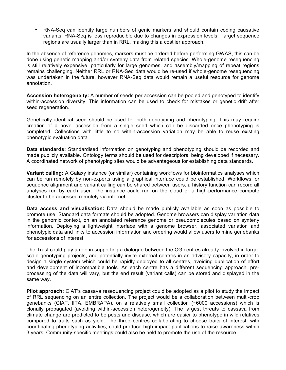• RNA-Seq can identify large numbers of genic markers and should contain coding causative variants. RNA-Seq is less reproducible due to changes in expression levels. Target sequence regions are usually larger than in RRL, making this a costlier approach.

In the absence of reference genomes, markers must be ordered before performing GWAS, this can be done using genetic mapping and/or synteny data from related species. Whole-genome resequencing is still relatively expensive, particularly for large genomes, and assembly/mapping of repeat regions remains challenging. Neither RRL or RNA-Seq data would be re-used if whole-genome resequencing was undertaken in the future, however RNA-Seq data would remain a useful resource for genome annotation.

**Accession heterogeneity:** A number of seeds per accession can be pooled and genotyped to identify within-accession diversity. This information can be used to check for mistakes or genetic drift after seed regeneration.

Genetically identical seed should be used for both genotyping and phenotyping. This may require creation of a novel accession from a single seed which can be discarded once phenotyping is completed. Collections with little to no within-accession variation may be able to reuse existing phenotypic evaluation data.

**Data standards:** Standardised information on genotyping and phenotyping should be recorded and made publicly available. Ontology terms should be used for descriptors, being developed if necessary. A coordinated network of phenotyping sites would be advantageous for establishing data standards.

**Variant calling:** A Galaxy instance (or similar) containing workflows for bioinformatics analyses which can be run remotely by non-experts using a graphical interface could be established. Workflows for sequence alignment and variant calling can be shared between users, a history function can record all analyses run by each user. The instance could run on the cloud or a high-performance compute cluster to be accessed remotely via internet.

**Data access and visualisation:** Data should be made publicly available as soon as possible to promote use. Standard data formats should be adopted. Genome browsers can display variation data in the genomic context, on an annotated reference genome or pseudomolecules based on synteny information. Deploying a lightweight interface with a genome browser, associated variation and phenotypic data and links to accession information and ordering would allow users to mine genebanks for accessions of interest.

The Trust could play a role in supporting a dialogue between the CG centres already involved in largescale genotyping projects, and potentially invite external centres in an advisory capacity, in order to design a single system which could be rapidly deployed to all centres, avoiding duplication of effort and development of incompatible tools. As each centre has a different sequencing approach, preprocessing of the data will vary, but the end result (variant calls) can be stored and displayed in the same way.

**Pilot approach:** CIAT's cassava resequencing project could be adopted as a pilot to study the impact of RRL sequencing on an entire collection. The project would be a collaboration between multi-crop genebanks (CIAT, IITA, EMBRAPA), on a relatively small collection (~6000 accessions) which is clonally propagated (avoiding within-accession heterogeneity). The largest threats to cassava from climate change are predicted to be pests and disease, which are easier to phenotype in wild relatives compared to traits such as yield. The three centres collaborating to choose traits of interest, with coordinating phenotyping activities, could produce high-impact publications to raise awareness within 3 years. Community-specific meetings could also be held to promote the use of the resource.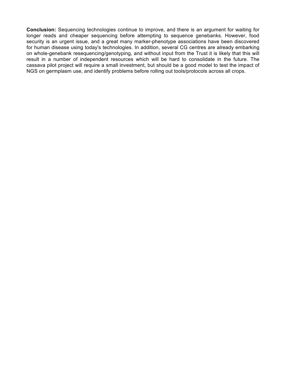**Conclusion:** Sequencing technologies continue to improve, and there is an argument for waiting for longer reads and cheaper sequencing before attempting to sequence genebanks. However, food security is an urgent issue, and a great many marker-phenotype associations have been discovered for human disease using today's technologies. In addition, several CG centres are already embarking on whole-genebank resequencing/genotyping, and without input from the Trust it is likely that this will result in a number of independent resources which will be hard to consolidate in the future. The cassava pilot project will require a small investment, but should be a good model to test the impact of NGS on germplasm use, and identify problems before rolling out tools/protocols across all crops.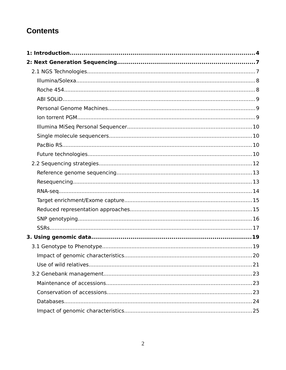# **Contents**

| 1: Introduction………………………………………………………………………………………4 |  |
|---------------------------------------------------|--|
|                                                   |  |
|                                                   |  |
|                                                   |  |
|                                                   |  |
|                                                   |  |
|                                                   |  |
|                                                   |  |
|                                                   |  |
|                                                   |  |
|                                                   |  |
|                                                   |  |
|                                                   |  |
|                                                   |  |
|                                                   |  |
|                                                   |  |
|                                                   |  |
|                                                   |  |
|                                                   |  |
|                                                   |  |
|                                                   |  |
|                                                   |  |
|                                                   |  |
|                                                   |  |
|                                                   |  |
|                                                   |  |
|                                                   |  |
|                                                   |  |
|                                                   |  |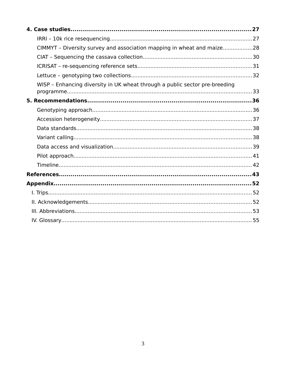| CIMMYT - Diversity survey and association mapping in wheat and maize28      |  |
|-----------------------------------------------------------------------------|--|
|                                                                             |  |
|                                                                             |  |
|                                                                             |  |
| WISP - Enhancing diversity in UK wheat through a public sector pre-breeding |  |
|                                                                             |  |
|                                                                             |  |
|                                                                             |  |
|                                                                             |  |
|                                                                             |  |
|                                                                             |  |
|                                                                             |  |
|                                                                             |  |
|                                                                             |  |
|                                                                             |  |
|                                                                             |  |
|                                                                             |  |
|                                                                             |  |
|                                                                             |  |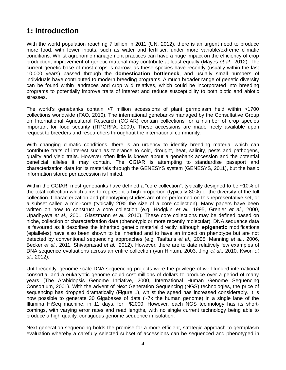# **1: Introduction**

With the world population reaching 7 billion in 2011 (UN, 2012), there is an urgent need to produce more food, with fewer inputs, such as water and fertiliser, under more variable/extreme climatic conditions. Whilst agronomic management practices can have a huge impact on the efficiency of crop production, improvement of genetic material may contribute at least equally (Mayes *et al.*, 2012). The current genetic base of most crops is narrow, as these species have recently (usually within the last 10,000 years) passed through the **domestication bottleneck**, and usually small numbers of individuals have contributed to modern breeding programs. A much broader range of genetic diversity can be found within landraces and crop wild relatives, which could be incorporated into breeding programs to potentially improve traits of interest and reduce susceptibility to both biotic and abiotic stresses.

The world's genebanks contain >7 million accessions of plant germplasm held within >1700 collections worldwide (FAO, 2010). The international genebanks managed by the Consultative Group on International Agricultural Research (CGIAR) contain collections for a number of crop species important for food security (ITPGRFA, 2009). These accessions are made freely available upon request to breeders and researchers throughout the international community.

With changing climatic conditions, there is an urgency to identify breeding material which can contribute traits of interest such as tolerance to cold, drought, heat, salinity, pests and pathogens, quality and yield traits. However often little is known about a genebank accession and the potential beneficial alleles it may contain. The CGIAR is attempting to standardise passport and characterization data for its materials through the GENESYS system (GENESYS, 2011), but the basic information stored per accession is limited.

Within the CGIAR, most genebanks have defined a "core collection", typically designed to be ~10% of the total collection which aims to represent a high proportion (typically 80%) of the diversity of the full collection. Characterization and phenotyping studies are often performed on this representative set, or a subset called a mini-core (typically 20% the size of a core collection). Many papers have been written on how to construct a core collection (e.g. Hodgkin *et al.,* 1995, Grenier *et al.,* 2000, Upadhyaya *et al.,* 2001, Glaszmann *et al.,* 2010). These core collections may be defined based on niche, collection or characterization data (phenotypic or more recently molecular). DNA sequence data is favoured as it describes the inherited genetic material directly, although **epigenetic** modifications (epialleles) have also been shown to be inherited and to have an impact on phenotype but are not detected by conventional sequencing approaches (e.g. Tsaftaris *et al.,* 2005, Manning *et al.,* 2006, Becker *et al.,* 2011, Shivaprasad *et al.,* 2012). However, there are to date relatively few examples of DNA sequence evaluations across an entire collection (van Hintum, 2003, Jing *et al*., 2010, Kwon *et al*., 2012).

Until recently, genome-scale DNA sequencing projects were the privilege of well-funded international consortia, and a eukaryotic genome could cost millions of dollars to produce over a period of many years (The Arabidopsis Genome Initiative, 2000, International Human Genome Sequencing Consortium, 2001). With the advent of Next Generation Sequencing (NGS) technologies, the price of sequencing has dropped dramatically (Figure 1), whilst the speed has increased considerably. It is now possible to generate 30 Gigabases of data (~7x the human genome) in a single lane of the Illumina HiSeq machine, in 11 days, for ~\$2000. However, each NGS technology has its shortcomings, with varying error rates and read lengths, with no single current technology being able to produce a high quality, contiguous genome sequence in isolation.

Next generation sequencing holds the promise for a more efficient, strategic approach to germplasm evaluation whereby a carefully selected subset of accessions can be sequenced and phenotyped in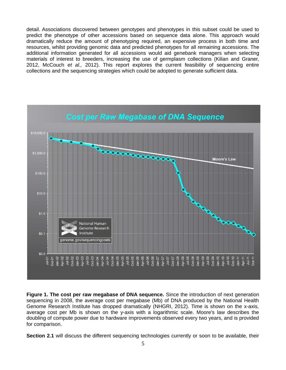detail. Associations discovered between genotypes and phenotypes in this subset could be used to predict the phenotype of other accessions based on sequence data alone. This approach would dramatically reduce the amount of phenotyping required, an expensive process in both time and resources, whilst providing genomic data and predicted phenotypes for all remaining accessions. The additional information generated for all accessions would aid genebank managers when selecting materials of interest to breeders, increasing the use of germplasm collections (Kilian and Graner, 2012, McCouch *et al.,* 2012). This report explores the current feasibility of sequencing entire collections and the sequencing strategies which could be adopted to generate sufficient data.



**Figure 1. The cost per raw megabase of DNA sequence.** Since the introduction of next generation sequencing in 2008, the average cost per megabase (Mb) of DNA produced by the National Health Genome Research Institute has dropped dramatically (NHGRI, 2012). Time is shown on the x-axis, average cost per Mb is shown on the y-axis with a logarithmic scale. Moore's law describes the doubling of compute power due to hardware improvements observed every two years, and is provided for comparison.

Section 2.1 will discuss the different sequencing technologies currently or soon to be available, their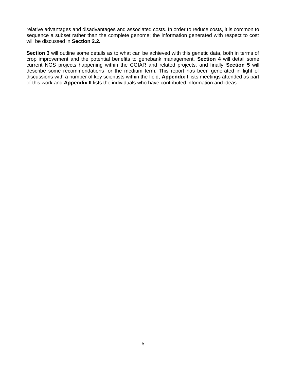relative advantages and disadvantages and associated costs. In order to reduce costs, it is common to sequence a subset rather than the complete genome; the information generated with respect to cost will be discussed in **Section 2.2.**

**Section 3** will outline some details as to what can be achieved with this genetic data, both in terms of crop improvement and the potential benefits to genebank management. **Section 4** will detail some current NGS projects happening within the CGIAR and related projects, and finally **Section 5** will describe some recommendations for the medium term. This report has been generated in light of discussions with a number of key scientists within the field, **Appendix I** lists meetings attended as part of this work and **Appendix II** lists the individuals who have contributed information and ideas.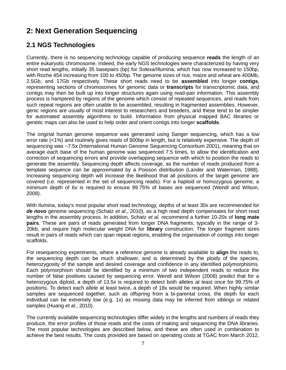# **2: Next Generation Sequencing**

# **2.1 NGS Technologies**

Currently, there is no sequencing technology capable of producing sequence **reads** the length of an entire eukaryotic chromosome. Indeed, the early NGS technologies were characterized by having very short read lengths, initially 35 basepairs (bp) for Solexa/Illumina, which has now increased to 150bp, with Roche 454 increasing from 100 to 450bp. The genome sizes of rice, maize and wheat are 400Mb, 2.5Gb, and 17Gb respectively. These short reads need to be **assembled** into longer **contigs**, representing sections of chromosomes for genomic data or **transcripts** for transcriptomic data, and contigs may then be built up into longer structures again using read-pair information. This assembly process is hampered by regions of the genome which consist of repeated sequences, and reads from such repeat regions are often unable to be assembled, resulting in fragmented assemblies. However, genic regions are usually of most interest to researchers and breeders, and these tend to be simpler for automated assembly algorithms to build. Information from physical mapped BAC libraries or genetic maps can also be used to help order and orient contigs into longer **scaffolds**.

The original human genome sequence was generated using Sanger sequencing, which has a low error rate (<1%) and routinely gives reads of 800bp in length, but is relatively expensive. The depth of sequencing was ~7.5x (International Human Genome Sequencing Consortium 2001), meaning that on average each base of the human genome was sequenced 7.5 times, to allow the identification and correction of sequencing errors and provide overlapping sequence with which to position the reads to generate the assembly. Sequencing depth affects coverage, as the number of reads produced from a template sequence can be approximated by a Poisson distribution (Lander and Waterman, 1988). Increasing sequencing depth will increase the likelihood that all positions of the target genome are covered (i.e. represented in the set of sequencing reads). For a haploid or homozygous genome, a minimum depth of 6x is required to ensure 99.75% of bases are sequenced (Wendl and Wilson, 2008).

With Ilumina, today's most popular short read technology, depths of at least 30x are recommended for *de novo* genome sequencing (Schatz *et al*., 2010), as a high read depth compensates for short read lengths in the assembly process. In addition, Schatz *et al.* recommend a further 10-20x of **long mate pairs**. These are pairs of reads generated from longer DNA fragments, typically in the range of 3- 20kb, and require high molecular weight DNA for **library** construction. The longer fragment sizes result in pairs of reads which can span repeat regions, enabling the organisation of contigs into longer scaffolds.

For resequencing experiments, where a reference genome is already available to **align** the reads to, the sequencing depth can be much shallower, and is determined by the ploidy of the species, heterozygosity of the sample and desired coverage and confidence in any identified polymorphisms. Each polymorphism should be identified by a minimum of two independent reads to reduce the number of false positives caused by sequencing error. Wendl and Wilson (2008) predict that for a heterozygous diploid, a depth of 13.5x is required to detect both alleles at least once for 99.75% of positions. To detect each allele at least twice, a depth of 18x would be required. When highly similar samples are sequenced together, such as offspring from a bi-parental cross, the depth for each individual can be extremely low (e.g. 1x) as missing data may be inferred from siblings or related samples (Huang *et al.,* 2010).

The currently available sequencing technologies differ widely in the lengths and numbers of reads they produce, the error profiles of those reads and the costs of making and sequencing the DNA libraries. The most popular technologies are described below, and these are often used in combination to achieve the best results. The costs provided are based on operating costs at TGAC from March 2012,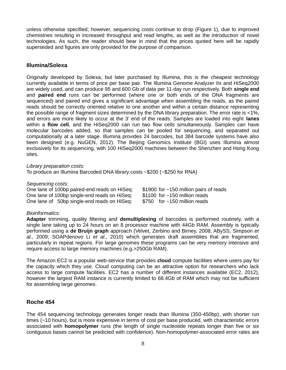unless otherwise specified; however, sequencing costs continue to drop (Figure 1), due to improved chemistries resulting in increased throughput and read lengths, as well as the introduction of novel technologies. As such, the reader should bear in mind that the prices quoted here will be rapidly superseded and figures are only provided for the purpose of comparison.

### **Illumina/Solexa**

Originally developed by Solexa, but later purchased by Illumina, this is the cheapest technology currently available in terms of price per base pair. The Illumina Genome Analyzer IIx and HiSeq2000 are widely used, and can produce 95 and 600 Gb of data per 11-day run respectively. Both **single end** and **paired end** runs can be performed (where one or both ends of the DNA fragments are sequenced) and paired end gives a significant advantage when assembling the reads, as the paired reads should be correctly oriented relative to one another and within a certain distance representing the possible range of fragment sizes determined by the DNA library preparation. The error rate is <1%, and errors are more likely to occur at the 3' end of the reads. Samples are loaded into eight **lanes** within a **flow cell**, and the HiSeq2000 can run two flow cells simultaneously. Samples can have molecular barcodes added, so that samples can be pooled for sequencing, and separated out computationally at a later stage. Illumina provides 24 barcodes, but 384 barcode systems have also been designed (e.g. NuGEN, 2012). The Beijing Genomics Institute (BGI) uses Illumina almost exclusively for its sequencing, with 100 HiSeq2000 machines between the Shenzhen and Hong Kong sites.

*Library preparation costs:*

To produce an Illumina Barcoded DNA library costs ~\$200 (~\$250 for RNA)

*Sequencing costs:*

One lane of 100bp paired-end reads on HiSeq:  $$1900$  for  $~150$  million pairs of reads One lane of 100bp single-end reads on HiSeq: \$1100 for ~150 million reads One lane of 50bp single-end reads on HiSeq:  $$750$  for  $~150$  million reads

### *Bioinformatics:*

**Adapter** trimming, quality filtering and **demultiplexing** of barcodes is performed routinely, with a single lane taking up to 24 hours on an 8 processor machine with 44Gb RAM. Assembly is typically performed using a **de Bruijn graph** approach (Velvet, Zerbino and Birney, 2008; ABySS, Simpson *et al.,* 2009; SOAPdenovo Li *et al.,* 2010) which generates draft assemblies that are fragmented, particularly in repeat regions. For large genomes these programs can be very memory intensive and require access to large memory machines (e.g.>250Gb RAM).

The Amazon EC2 is a popular web-service that provides **cloud** compute facilities where users pay for the capacity which they use. Cloud computing can be an attractive option for researchers who lack access to large compute facilities. EC2 has a number of different instances available (EC2, 2012), however the largest RAM instance is currently limited to 68.4Gb of RAM which may not be sufficient for assembling large genomes.

### **Roche 454**

The 454 sequencing technology generates longer reads than Illumina (350-450bp), with shorter run times (~10 hours), but is more expensive in terms of cost per base produced, with characteristic errors associated with **homopolymer** runs (the length of single nucleotide repeats longer than five or six contiguous bases cannot be predicted with confidence). Non-homopolymer-associated error rates are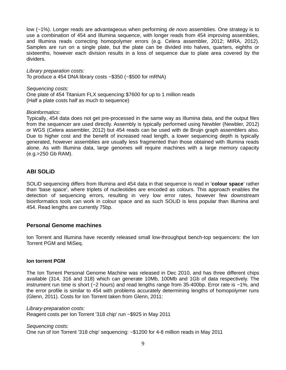low (~1%). Longer reads are advantageous when performing *de nov*o assemblies. One strategy is to use a combination of 454 and Illumina sequence, with longer reads from 454 improving assemblies, and Illumina reads correcting homopolymer errors (e.g. Celera assembler, 2012; MIRA, 2012). Samples are run on a single plate, but the plate can be divided into halves, quarters, eighths or sixteenths, however each division results in a loss of sequence due to plate area covered by the dividers.

*Library preparation costs:* To produce a 454 DNA library costs ~\$350 (~\$500 for mRNA)

*Sequencing costs:*

One plate of 454 Titanium FLX sequencing:\$7600 for up to 1 million reads (Half a plate costs half as much to sequence)

### *Bioinformatics:*

Typically, 454 data does not get pre-processed in the same way as Illumina data, and the output files from the sequencer are used directly. Assembly is typically performed using Newbler (Newbler, 2012) or WGS (Celera assembler, 2012) but 454 reads can be used with de Bruijn graph assemblers also. Due to higher cost and the benefit of increased read length, a lower sequencing depth is typically generated, however assemblies are usually less fragmented than those obtained with Illumina reads alone. As with Illumina data, large genomes will require machines with a large memory capacity (e.g.>250 Gb RAM).

### **ABI SOLiD**

SOLiD sequencing differs from Illumina and 454 data in that sequence is read in '**colour space**' rather than 'base space', where triplets of nucleotides are encoded as colours. This approach enables the detection of sequencing errors, resulting in very low error rates, however few downstream bioinformatics tools can work in colour space and as such SOLiD is less popular than Illumina and 454. Read lengths are currently 75bp.

### **Personal Genome machines**

Ion Torrent and Illumina have recently released small low-throughput bench-top sequencers: the Ion Torrent PGM and MiSeq.

#### **Ion torrent PGM**

The Ion Torrent Personal Genome Machine was released in Dec 2010, and has three different chips available (314, 316 and 318) which can generate 10Mb, 100Mb and 1Gb of data respectively. The instrument run time is short ( $-2$  hours) and read lengths range from 35-400bp. Error rate is  $-1\%$ , and the error profile is similar to 454 with problems accurately determining lengths of homopolymer runs (Glenn, 2011). Costs for Ion Torrent taken from Glenn, 2011:

*Library-preparation costs:* Reagent costs per Ion Torrent '318 chip' run ~\$925 in May 2011

*Sequencing costs:*

One run of Ion Torrent '318 chip' sequencing: ~\$1200 for 4-8 million reads in May 2011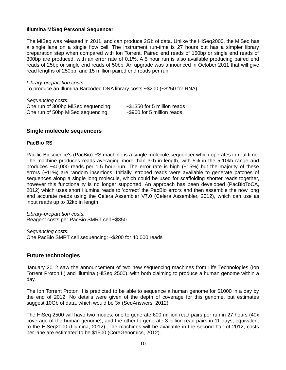#### **Illumina MiSeq Personal Sequencer**

The MiSeq was released in 2011, and can produce 2Gb of data. Unlike the HiSeq2000, the MiSeq has a single lane on a single flow cell. The instrument run-time is 27 hours but has a simpler library preparation step when compared with Ion Torrent. Paired end reads of 150bp or single end reads of 300bp are produced, with an error rate of 0.1%. A 5 hour run is also available producing paired end reads of 25bp or single end reads of 50bp. An upgrade was announced in October 2011 that will give read lengths of 250bp, and 15 million paired end reads per run.

*Library-preparation costs:* To produce an Illumina Barcoded DNA library costs ~\$200 (~\$250 for RNA)

*Sequencing costs:* One run of 300bp MiSeq sequencing: ~\$1350 for 5 million reads One run of 50bp MiSeq sequencing: ~\$900 for 5 million reads

### **Single molecule sequencers**

#### **PacBio RS**

Pacific Bioscience's (PacBio) RS machine is a single molecule sequencer which operates in real time. The machine produces reads averaging more than 3kb in length, with 5% in the 5-10kb range and produces  $\sim$ 40,000 reads per 1.5 hour run. The error rate is high ( $\sim$ 15%) but the majority of these errors (~11%) are random insertions. Initially, strobed reads were available to generate patches of sequences along a single long molecule, which could be used for scaffolding shorter reads together, however this functionality is no longer supported. An approach has been developed (PacBioToCA, 2012) which uses short Illumina reads to 'correct' the PacBio errors and then assemble the now long and accurate reads using the Celera Assembler V7.0 (Celera Assembler, 2012), which can use as input reads up to 32kb in length.

*Library-preparation costs:* Reagent costs per PacBio SMRT cell ~\$350

*Sequencing costs:* One PacBio SMRT cell sequencing: ~\$200 for 40,000 reads

### **Future technologies**

January 2012 saw the announcement of two new sequencing machines from Life Technologies (Ion Torrent Proton II) and Illumina (HiSeq 2500), with both claiming to produce a human genome within a day.

The Ion Torrent Proton II is predicted to be able to sequence a human genome for \$1000 in a day by the end of 2012. No details were given of the depth of coverage for this genome, but estimates suggest 10Gb of data, which would be 3x (SeqAnswers, 2012).

The HiSeq 2500 will have two modes, one to generate 600 million read-pairs per run in 27 hours (40x coverage of the human genome), and the other to generate 3 billion read pairs in 11 days, equivalent to the HiSeq2000 (Illumina, 2012). The machines will be available in the second half of 2012, costs per lane are estimated to be \$1500 (CoreGenomics, 2012).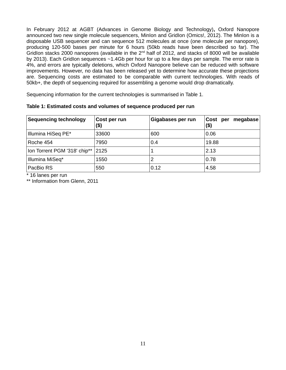In February 2012 at AGBT (Advances in Genome Biology and Technology)**,** Oxford Nanopore announced two new single molecule sequencers, MinIon and GridIon (Omics!, 2012). The MinIon is a disposable USB sequencer and can sequence 512 molecules at once (one molecule per nanopore), producing 120-500 bases per minute for 6 hours (50kb reads have been described so far). The GridIon stacks 2000 nanopores (available in the  $2^{nd}$  half of 2012, and stacks of 8000 will be available by 2013). Each GridIon sequences ~1.4Gb per hour for up to a few days per sample. The error rate is 4%, and errors are typically deletions, which Oxford Nanopore believe can be reduced with software improvements. However, no data has been released yet to determine how accurate these projections are. Sequencing costs are estimated to be comparable with current technologies. With reads of 50kb+, the depth of sequencing required for assembling a genome would drop dramatically.

Sequencing information for the current technologies is summarised in Table 1.

| <b>Sequencing technology</b> | Cost per run<br>(\$) | Gigabases per run | Cost per megabase<br>$($ \$) |
|------------------------------|----------------------|-------------------|------------------------------|
| Illumina HiSeq PE*           | 33600                | 600               | 0.06                         |
| Roche 454                    | 7950                 | 0.4               | 19.88                        |
| Ion Torrent PGM '318' chip** | 2125                 |                   | 2.13                         |
| Illumina MiSeq*              | 1550                 |                   | 0.78                         |
| PacBio RS                    | 550                  | 0.12              | 4.58                         |

**Table 1: Estimated costs and volumes of sequence produced per run**

\* 16 lanes per run

\*\* Information from Glenn, 2011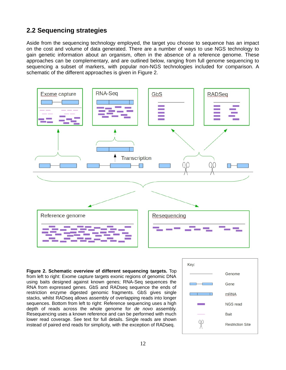# **2.2 Sequencing strategies**

Aside from the sequencing technology employed, the target you choose to sequence has an impact on the cost and volume of data generated. There are a number of ways to use NGS technology to gain genetic information about an organism, often in the absence of a reference genome. These approaches can be complementary, and are outlined below, ranging from full genome sequencing to sequencing a subset of markers, with popular non-NGS technologies included for comparison. A schematic of the different approaches is given in Figure 2.



**Figure 2. Schematic overview of different sequencing targets.** Top from left to right: Exome capture targets exonic regions of genomic DNA using baits designed against known genes; RNA-Seq sequences the RNA from expressed genes. GbS and RADseq sequence the ends of restriction enzyme digested genomic fragments. GbS gives single stacks, whilst RADseq allows assembly of overlapping reads into longer sequences. Bottom from left to right: Reference sequencing uses a high depth of reads across the whole genome for *de novo* assembly. Resequencing uses a known reference and can be performed with much lower read coverage. See text for full details. Single reads are shown instead of paired end reads for simplicity, with the exception of RADseq.

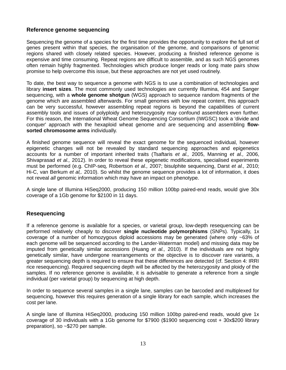### **Reference genome sequencing**

Sequencing the genome of a species for the first time provides the opportunity to explore the full set of genes present within that species, the organisation of the genome, and comparisons of genomic regions shared with closely related species. However, producing a finished reference genome is expensive and time consuming. Repeat regions are difficult to assemble, and as such NGS genomes often remain highly fragmented. Technologies which produce longer reads or long mate pairs show promise to help overcome this issue, but these approaches are not yet used routinely.

To date, the best way to sequence a genome with NGS is to use a combination of technologies and library **insert sizes**. The most commonly used technologies are currently Illumina, 454 and Sanger sequencing, with a **whole genome shotgun** (WGS) approach to sequence random fragments of the genome which are assembled afterwards. For small genomes with low repeat content, this approach can be very successful, however assembling repeat regions is beyond the capabilities of current assembly tools and issues of polyploidy and heterozygosity may confound assemblers even further. For this reason, the International Wheat Genome Sequencing Consortium (IWGSC) took a 'divide and conquer' approach with the hexaploid wheat genome and are sequencing and assembling **flowsorted chromosome arms** individually.

A finished genome sequence will reveal the exact genome for the sequenced individual, however epigenetic changes will not be revealed by standard sequencing approaches and epigenetics accounts for a number of important inherited traits (Tsaftaris *et al.,* 2005, Manning *et al.,* 2006, Shivaprasad *et al.,* 2012). In order to reveal these epigenetic modifications, specialised experiments must be performed (e.g. ChIP-seq, Robertson *et al.,* 2007; bisulphite sequencing, Darst *et al.,* 2010; Hi-C, van Berkum *et al,.* 2010). So whilst the genome sequence provides a lot of information, it does not reveal *all* genomic information which may have an impact on phenotype.

A single lane of Illumina HiSeq2000, producing 150 million 100bp paired-end reads, would give 30x coverage of a 1Gb genome for \$2100 in 11 days.

### **Resequencing**

If a reference genome is available for a species, or varietal group, low-depth resequencing can be performed relatively cheaply to discover **single nucleotide polymorphisms** (SNPs). Typically, 1x coverage of a number of homozygous diploid accessions may be generated (where only ~63% of each genome will be sequenced according to the Lander-Waterman model) and missing data may be imputed from genetically similar accessions (Huang *et al.,* 2010). If the individuals are not highly genetically similar, have undergone rearrangements or the objective is to discover rare variants, a greater sequencing depth is required to ensure that these differences are detected (cf. Section 4: IRRI rice resequencing). Required sequencing depth will be affected by the heterozygosity and ploidy of the samples. If no reference genome is available, it is advisable to generate a reference from a single individual (per varietal group) by sequencing at high depth.

In order to sequence several samples in a single lane, samples can be barcoded and multiplexed for sequencing, however this requires generation of a single library for each sample, which increases the cost per lane.

A single lane of Illumina HiSeq2000, producing 150 million 100bp paired-end reads, would give 1x coverage of 30 individuals with a 1Gb genome for \$7900 (\$1900 sequencing cost + 30x\$200 library preparation), so ~\$270 per sample.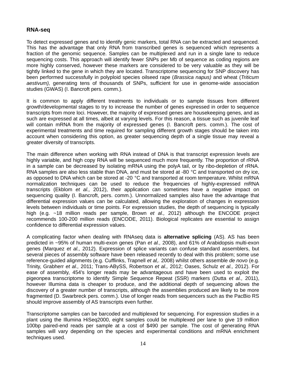### **RNA-seq**

To detect expressed genes and to identify genic markers, total RNA can be extracted and sequenced. This has the advantage that only RNA from transcribed genes is sequenced which represents a fraction of the genomic sequence. Samples can be multiplexed and run in a single lane to reduce sequencing costs. This approach will identify fewer SNPs per Mb of sequence as coding regions are more highly conserved, however these markers are considered to be very valuable as they will be tightly linked to the gene in which they are located. Transcriptome sequencing for SNP discovery has been performed successfully in polyploid species oilseed rape (*Brassica napus)* and wheat (*Triticum aestivum),* generating tens of thousands of SNPs, sufficient for use in genome-wide association studies (GWAS) (I. Bancroft pers. comm.).

It is common to apply different treatments to individuals or to sample tissues from different growth/developmental stages to try to increase the number of genes expressed in order to sequence transcripts from more loci. However, the majority of expressed genes are housekeeping genes, and as such are expressed at all times, albeit at varying levels. For this reason, a tissue such as juvenile leaf will contain mRNA from the majority of expressed genes (I. Bancroft pers. comm.). The cost of experimental treatments and time required for sampling different growth stages should be taken into account when considering this option, as greater sequencing depth of a single tissue may reveal a greater diversity of transcripts.

The main difference when working with RNA instead of DNA is that transcript expression levels are highly variable, and high copy RNA will be sequenced much more frequently. The proportion of rRNA in a sample can be decreased by isolating mRNA using the polyA tail, or by ribo-depletion of rRNA. RNA samples are also less stable than DNA, and must be stored at -80 °C and transported on dry ice, as opposed to DNA which can be stored at -20  $^{\circ}$ C and transported at room temperature. Whilst mRNA normalization techniques can be used to reduce the frequencies of highly-expressed mRNA transcripts (Ekblom *et al.,* 2012), their application can sometimes have a negative impact on sequencing quality (I. Bancroft, pers. comm.). Unnormalized samples also have the advantage that differential expression values can be calculated, allowing the exploration of changes in expression levels between individuals or time points. For expression studies, the depth of sequencing is typically high (e.g. ~18 million reads per sample, Brown *et al.,* 2012) although the ENCODE project recommends 100-200 million reads (ENCODE, 2011). Biological replicates are essential to assign confidence to differential expression values.

A complicating factor when dealing with RNAseq data is **alternative splicing** (AS). AS has been predicted in ~95% of human multi-exon genes (Pan *et al.,* 2008), and 61% of Arabidopsis multi-exon genes (Marquez *et al.,* 2012). Expression of splice variants can confuse standard assemblers, but several pieces of assembly software have been released recently to deal with this problem; some use reference-guided alignments (e.g. Cufflinks, Trapnell *et al,.* 2008) whilst others assemble *de novo* (e.g. Trinity, Grabherr *et al.,* 2011; Trans-ABySS, Robertson *et al.,* 2012; Oases, Schulz *et al.,* 2012). For ease of assembly, 454's longer reads may be advantageous and have been used to exploit the pigeonpea transcriptome to identify Simple Sequence Repeat (SSR) markers (Dutta *et al.,* 2011), however Illumina data is cheaper to produce, and the additional depth of sequencing allows the discovery of a greater number of transcripts, although the assemblies produced are likely to be more fragmented (D. Swarbreck pers. comm.). Use of longer reads from sequencers such as the PacBio RS should improve assembly of AS transcripts even further.

Transcriptome samples can be barcoded and multiplexed for sequencing. For expression studies in a plant using the Illumina HiSeq2000, eight samples could be multiplexed per lane to give 19 million 100bp paired-end reads per sample at a cost of \$490 per sample. The cost of generating RNA samples will vary depending on the species and experimental conditions and mRNA enrichment techniques used.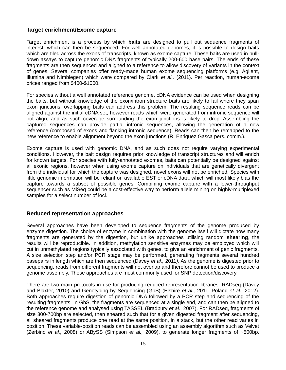### **Target enrichment/Exome capture**

Target enrichment is a process by which **baits** are designed to pull out sequence fragments of interest, which can then be sequenced. For well annotated genomes, it is possible to design baits which are tiled across the exons of transcripts, known as exome capture. These baits are used in pulldown assays to capture genomic DNA fragments of typically 200-600 base pairs. The ends of these fragments are then sequenced and aligned to a reference to allow discovery of variants in the context of genes. Several companies offer ready-made human exome sequencing platforms (e.g. Agilent, Illumina and Nimblegen) which were compared by Clark *et al.,* (2011). Per reaction, human-exome prices ranged from \$400-\$1000.

For species without a well annotated reference genome, cDNA evidence can be used when designing the baits, but without knowledge of the exon/intron structure baits are likely to fail where they span exon junctions; overlapping baits can address this problem. The resulting sequence reads can be aligned against the initial cDNA set, however reads which were generated from intronic sequence will not align, and as such coverage surrounding the exon junctions is likely to drop. Assembling the captured sequences can provide partial intronic sequences, allowing the generation of a new reference (composed of exons and flanking intronic sequence). Reads can then be remapped to the new reference to enable alignment beyond the exon junctions (R. Enriquez Gasca pers. comm.).

Exome capture is used with genomic DNA, and as such does not require varying experimental conditions. However, the bait design requires prior knowledge of transcript structures and will enrich for known targets. For species with fully-annotated exomes, baits can potentially be designed against all exonic regions, however when using exome capture on individuals that are genetically divergent from the individual for which the capture was designed, novel exons will not be enriched. Species with little genomic information will be reliant on available EST or cDNA data, which will most likely bias the capture towards a subset of possible genes. Combining exome capture with a lower-throughput sequencer such as MiSeq could be a cost-effective way to perform allele mining on highly-multiplexed samples for a select number of loci.

### **Reduced representation approaches**

Several approaches have been developed to sequence fragments of the genome produced by enzyme digestion. The choice of enzyme in combination with the genome itself will dictate how many fragments are generated by the digestion, but unlike approaches utilising random **shearing**, the results will be reproducible. In addition, methylation sensitive enzymes may be employed which will cut in unmethylated regions typically associated with genes, to give an enrichment of genic fragments. A size selection step and/or PCR stage may be performed, generating fragments several hundred basepairs in length which are then sequenced (Davey *et al.,* 2011*)*. As the genome is digested prior to sequencing, reads from different fragments will not overlap and therefore cannot be used to produce a genome assembly. These approaches are most commonly used for SNP detection/discovery.

There are two main protocols in use for producing reduced representation libraries: RADseq (Davey and Blaxter, 2010) and Genotyping by Sequencing (GbS) (Elshire *et al.,* 2011, Poland *et al.,* 2012). Both approaches require digestion of genomic DNA followed by a PCR step and sequencing of the resulting fragments. In GbS, the fragments are sequenced at a single end, and can then be aligned to the reference genome and analysed using TASSEL (Bradbury *et al.*, 2007). For RADseq, fragments of size 300-700bp are selected, then sheared such that for a given digested fragment after sequencing, all sheared fragments produce one read at the same position, in a stack, but the other read varies in position. These variable-position reads can be assembled using an assembly algorithm such as Velvet (Zerbino *et al.,* 2008) or ABySS (Simpson *et al.,* 2009), to generate longer fragments of ~500bp.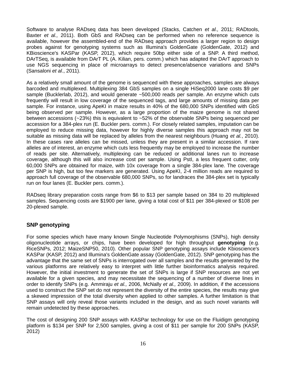Software to analyse RADseq data has been developed (Stacks, Catchen *et al.,* 2011; RADtools, Baxter *et al.,* 2011). Both GbS and RADseq can be performed when no reference sequence is available, however the assembled-end of the RADseq approach provides a larger region to design probes against for genotyping systems such as Illumina's GoldenGate (GoldenGate, 2012) and KBioscience's KASPar (KASP, 2012), which require 50bp either side of a SNP. A third method, DArTSeq, is available from DArT PL (A. Kilian, pers. comm.) which has adapted the DArT approach to use NGS sequencing in place of microarrays to detect presence/absence variations and SNPs (Sansaloni *et al*., 2011).

As a relatively small amount of the genome is sequenced with these approaches, samples are always barcoded and multiplexed. Multiplexing 384 GbS samples on a single HiSeq2000 lane costs \$9 per sample (Bucklerlab, 2012), and would generate ~500,000 reads per sample. An enzyme which cuts frequently will result in low coverage of the sequenced tags, and large amounts of missing data per sample. For instance, using ApeKI in maize results in 40% of the 680,000 SNPs identified with GbS being observed per sample. However, as a large proportion of the maize genome is not shared between accessions (~23%) this is equivalent to ~52% of the observable SNPs being sequenced per accession for a 384-plex run (E. Buckler pers. comm.). For closely related samples, imputation can be employed to reduce missing data, however for highly diverse samples this approach may not be suitable as missing data will be replaced by alleles from the nearest neighbours (Huang *et al.*, 2010). In these cases rare alleles can be missed, unless they are present in a similar accession. If rare alleles are of interest, an enzyme which cuts less frequently may be employed to increase the number of reads per site. Alternatively, multiplexing can be reduced or additional lanes run to increase coverage, although this will also increase cost per sample. Using PstI, a less frequent cutter, only 60,000 SNPs are obtained for maize, with 10x coverage from a single 384-plex lane. The coverage per SNP is high, but too few markers are generated. Using ApeKI, 2-4 million reads are required to approach full coverage of the observable 680,000 SNPs, so for landraces the 384-plex set is typically run on four lanes (E. Buckler pers. comm.).

RADseq library preparation costs range from \$6 to \$13 per sample based on 384 to 20 multiplexed samples. Sequencing costs are \$1900 per lane, giving a total cost of \$11 per 384-plexed or \$108 per 20-plexed sample.

### **SNP genotyping**

For some species which have many known Single Nucleotide Polymorphisms (SNPs), high density oligonucleotide arrays, or chips, have been developed for high throughput **genotyping** (e.g. RiceSNPs, 2012; MaizeSNP50, 2010). Other popular SNP genotyping assays include Kbioscience's KASPar (KASP, 2012) and Illumina's GoldenGate assay (GoldenGate, 2012). SNP genotyping has the advantage that the same set of SNPs is interrogated over all samples and the results generated by the various platforms are relatively easy to interpret with little further bioinformatics analysis required. However, the initial investment to generate the set of SNPs is large if SNP resources are not yet available for a given species, and may necessitate the sequencing of a number of diverse lines in order to identify SNPs (e.g. Ammiraju *et al.,* 2006, McNally *et al.,* 2009). In addition, if the accessions used to construct the SNP set do not represent the diversity of the entire species, the results may give a skewed impression of the total diversity when applied to other samples. A further limitation is that SNP assays will only reveal those variants included in the design, and as such novel variants will remain undetected by these approaches.

The cost of designing 200 SNP assays with KASPar technology for use on the Fluidigm genotyping platform is \$134 per SNP for 2,500 samples, giving a cost of \$11 per sample for 200 SNPs (KASP, 2012)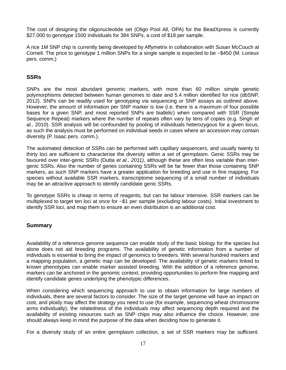The cost of designing the oligonucleotide set (Oligo Pool All, OPA) for the BeadXpress is currently \$27,000 to genotype 1500 individuals for 384 SNPs, a cost of \$18 per sample.

A rice 1M SNP chip is currently being developed by Affymetrix in collaboration with Susan McCouch at Cornell. The price to genotype 1 million SNPs for a single sample is expected to be ~\$450 (M. Lorieux pers. comm.)

### **SSRs**

SNPs are the most abundant genomic markers, with more than 60 million simple genetic polymorphisms detected between human genomes to date and 5.4 million identified for rice (dbSNP, 2012). SNPs can be readily used for genotyping via sequencing or SNP assays as outlined above. However, the amount of information per SNP marker is low (i.e. there is a maximum of four possible bases for a given SNP, and most reported SNPs are biallelic) when compared with SSR (Simple Sequence Repeat) markers where the number of repeats often vary by tens of copies (e.g. Singh *et al.,* 2010). SSR analysis will be confounded by pooling of individuals heterozygous for a given locus, as such the analysis must be performed on individual seeds in cases where an accession may contain diversity (P. Isaac pers. comm.).

The automated detection of SSRs can be performed with capillary sequencers, and usually twenty to thirty loci are sufficient to characterise the diversity within a set of germplasm. Genic SSRs may be favoured over inter-genic SSRs (Dutta *et al.*, *2011),* although these are often less variable than intergenic SSRs. Also the number of genes containing SSRs will be far fewer than those containing SNP markers, as such SNP markers have a greater application for breeding and use in fine mapping. For species without available SSR markers, transcriptome sequencing of a small number of individuals may be an attractive approach to identify candidate genic SSRs.

To genotype SSRs is cheap in terms of reagents, but can be labour intensive. SSR markers can be multiplexed to target ten loci at once for ~\$1 per sample (excluding labour costs). Initial investment to identify SSR loci, and map them to ensure an even distribution is an additional cost.

### **Summary**

Availability of a reference genome sequence can enable study of the basic biology for the species but alone does not aid breeding programs. The availability of genetic information from a number of individuals is essential to bring the impact of genomics to breeders. With several hundred markers and a mapping population, a genetic map can be developed. The availability of genetic markers linked to known phenotypes can enable marker assisted breeding. With the addition of a reference genome, markers can be anchored in the genomic context, providing opportunities to perform fine mapping and identify candidate genes underlying the phenotypic differences.

When considering which sequencing approach to use to obtain information for large numbers of individuals, there are several factors to consider. The size of the target genome will have an impact on cost, and ploidy may affect the strategy you need to use (for example, sequencing wheat chromosome arms individually), the relatedness of the individuals may affect sequencing depth required and the availability of existing resources such as SNP chips may also influence the choice. However, one should always keep in mind the purpose of the data when deciding how to generate it.

For a diversity study of an entire germplasm collection, a set of SSR markers may be sufficient.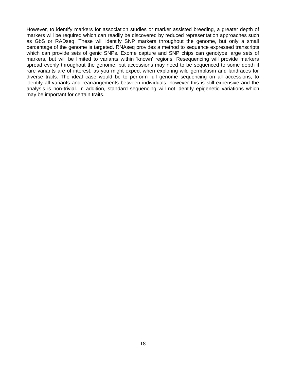However, to identify markers for association studies or marker assisted breeding, a greater depth of markers will be required which can readily be discovered by reduced representation approaches such as GbS or RADseq. These will identify SNP markers throughout the genome, but only a small percentage of the genome is targeted. RNAseq provides a method to sequence expressed transcripts which can provide sets of genic SNPs. Exome capture and SNP chips can genotype large sets of markers, but will be limited to variants within 'known' regions. Resequencing will provide markers spread evenly throughout the genome, but accessions may need to be sequenced to some depth if rare variants are of interest, as you might expect when exploring wild germplasm and landraces for diverse traits. The ideal case would be to perform full genome sequencing on all accessions, to identify all variants and rearrangements between individuals, however this is still expensive and the analysis is non-trivial. In addition, standard sequencing will not identify epigenetic variations which may be important for certain traits.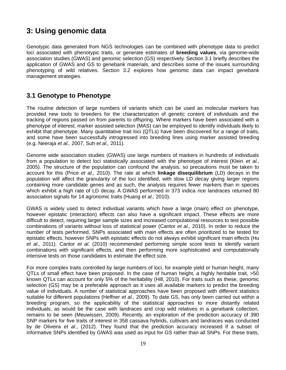# **3: Using genomic data**

Genotypic data generated from NGS technologies can be combined with phenotype data to predict loci associated with phenotypic traits, or generate estimates of **breeding values**, via genome-wide association studies (GWAS) and genomic selection (GS) respectively. Section 3.1 briefly describes the application of GWAS and GS to genebank materials, and describes some of the issues surrounding phenotyping of wild relatives. Section 3.2 explores how genomic data can impact genebank management strategies.

# **3.1 Genotype to Phenotype**

The routine detection of large numbers of variants which can be used as molecular markers has provided new tools to breeders for the characterization of genetic content of individuals and the tracking of regions passed on from parents to offspring. Where markers have been associated with a phenotype of interest, marker assisted selection (MAS) can be employed to identify individuals likely to exhibit that phenotype. Many quantitative trait loci (QTLs) have been discovered for a range of traits, and some have been successfully introgressed into breeding lines using marker assisted breeding (e.g. Neeraja *et al.,* 2007, Suh *et al.,* 2011).

Genome wide association studies (GWAS) use large numbers of markers in hundreds of individuals from a population to detect loci statistically associated with the phenotype of interest (Klein *et al.,* 2005). The structure of the population can confound the analysis, so precautions must be taken to account for this (Price *et al.,* 2010). The rate at which **linkage disequilibrium** (LD) decays in the population will affect the granularity of the loci identified, with slow LD decay giving larger regions containing more candidate genes and as such, the analysis requires fewer markers than in species which exhibit a high rate of LD decay. A GWAS performed in 373 indica rice landraces returned 80 association signals for 14 agronomic traits (Huang *et al.,* 2010).

GWAS is widely used to detect individual variants which have a large (main) effect on phenotype, however epistatic (interaction) effects can also have a significant impact. These effects are more difficult to detect, requiring larger sample sizes and increased computational resources to test possible combinations of variants without loss of statistical power (Cantor *et al.,* 2010). In order to reduce the number of tests performed, SNPs associated with main effects are often prioritized to be tested for epistatic effects, however SNPs with epistatic effects do not always exhibit significant main effects (Hu *et al.,* 2011). Cantor *et al.* (2010) recommended performing simple score tests to identify variant combinations with significant effects, and then performing more sophisticated and computationally intensive tests on those candidates to estimate the effect size.

For more complex traits controlled by large numbers of loci, for example yield or human height, many QTLs of small effect have been proposed. In the case of human height, a highly heritable trait, >50 known QTLs can account for only 5% of the heritability (Hill, 2010). For traits such as these, genomic selection (GS) may be a preferable approach as it uses all available markers to predict the breeding value of individuals. A number of statistical approaches have been proposed with different statistics suitable for different populations (Heffner *et al.,* 2009). To date GS, has only been carried out within a breeding program, so the applicability of the statistical approaches to more distantly related individuals, as would be the case with landraces and crop wild relatives in a genebank collection, remains to be seen (Meuwissen, 2009). Recently, an exploration of the prediction accuracy of 390 SNP markers for five traits of interest in 358 cassava hybrids, cultivars and landraces was conducted by de Oliveira *et al.*, (2012). They found that the prediction accuracy increased if a subset of informative SNPs identified by GWAS was used as input for GS rather than all SNPs. For these traits,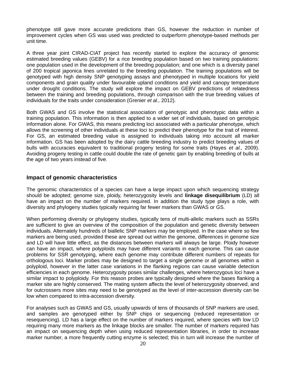phenotype still gave more accurate predictions than GS, however the reduction in number of improvement cycles when GS was used was predicted to outperform phenotype-based methods per unit time.

A three year joint CIRAD-CIAT project has recently started to explore the accuracy of genomic estimated breeding values (GEBV) for a rice breeding population based on two training populations: one population used in the development of the breeding population; and one which is a diversity panel of 200 tropical japonica lines unrelated to the breeding population. The training populations will be genotyped with high density SNP genotyping assays and phenotyped in multiple locations for yield components and grain quality under favourable upland conditions and yield and canopy temperature under drought conditions. The study will explore the impact on GEBV predictions of relatedness between the training and breeding populations, through comparison with the true breeding values of individuals for the traits under consideration (Grenier *et al.,* 2012).

Both GWAS and GS involve the statistical association of genotypic and phenotypic data within a training population. This information is then applied to a wider set of individuals, based on genotypic information alone. For GWAS, this means predicting loci associated with a particular phenotype, which allows the screening of other individuals at these loci to predict their phenotype for the trait of interest. For GS, an estimated breeding value is assigned to individuals taking into account all marker information. GS has been adopted by the dairy cattle breeding industry to predict breeding values of bulls with accuracies equivalent to traditional progeny testing for some traits (Hayes *et al.,* 2009). Avoiding progeny testing in cattle could double the rate of genetic gain by enabling breeding of bulls at the age of two years instead of five.

### **Impact of genomic characteristics**

The genomic characteristics of a species can have a large impact upon which sequencing strategy should be adopted; genome size, ploidy, heterozygosity levels and **linkage disequilibrium** (LD) all have an impact on the number of markers required. In addition the study type plays a role, with diversity and phylogeny studies typically requiring far fewer markers than GWAS or GS.

When performing diversity or phylogeny studies, typically tens of multi-allelic markers such as SSRs are sufficient to give an overview of the composition of the population and genetic diversity between individuals. Alternately hundreds of biallelic SNP markers may be employed. In the case where so few markers are being used, provided these are spread out within the genome, differences in genome size and LD will have little effect, as the distances between markers will always be large. Ploidy however can have an impact, where polyploids may have different variants in each genome. This can cause problems for SSR genotyping, where each genome may contribute different numbers of repeats for orthologous loci. Marker probes may be designed to target a single genome or all genomes within a polyploid, however in the latter case variations in the flanking regions can cause variable detection efficiencies in each genome. Heterozygosity poses similar challenges, where heterozygous loci have a similar impact to polyploidy. For this reason probes are typically designed where the bases flanking a marker site are highly conserved. The mating system affects the level of heterozygosity observed, and for outcrossers more sites may need to be genotyped as the level of inter-accession diversity can be low when compared to intra-accession diversity.

For analyses such as GWAS and GS, usually upwards of tens of thousands of SNP markers are used, and samples are genotyped either by SNP chips or sequencing (reduced representation or resequencing). LD has a large effect on the number of markers required, where species with low LD requiring many more markers as the linkage blocks are smaller. The number of markers required has an impact on sequencing depth when using reduced representation libraries, in order to increase marker number, a more frequently cutting enzyme is selected; this in turn will increase the number of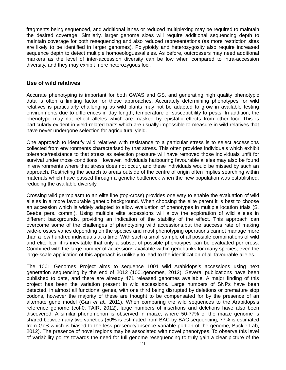fragments being sequenced, and additional lanes or reduced multiplexing may be required to maintain the desired coverage. Similarly, larger genome sizes will require additional sequencing depth to maintain coverage for both resequencing and also reduced representations (as more restriction sites are likely to be identified in larger genomes). Polyploidy and heterozygosity also require increased sequence depth to detect multiple homoeologues/alleles. As before, outcrossers may need additional markers as the level of inter-accession diversity can be low when compared to intra-accession diversity, and they may exhibit more heterozygous loci.

#### **Use of wild relatives**

Accurate phenotyping is important for both GWAS and GS, and generating high quality phenotypic data is often a limiting factor for these approaches. Accurately determining phenotypes for wild relatives is particularly challenging as wild plants may not be adapted to grow in available testing environments due to differences in day length, temperature or susceptibility to pests. In addition, the phenotype may not reflect alleles which are masked by epistatic effects from other loci. This is particularly evident in yield-related traits which are usually impossible to measure in wild relatives that have never undergone selection for agricultural yield.

One approach to identify wild relatives with resistance to a particular stress is to select accessions collected from environments characterised by that stress. This often provides individuals which exhibit tolerance/resistance to that stress as selection pressure will have removed those individuals unfit for survival under those conditions. However, individuals harbouring favourable alleles may also be found in environments where that stress does not occur, and these individuals would be missed by such an approach. Restricting the search to areas outside of the centre of origin often implies searching within materials which have passed through a genetic bottleneck when the new population was established, reducing the available diversity.

Crossing wild germplasm to an elite line (top-cross) provides one way to enable the evaluation of wild alleles in a more favourable genetic background. When choosing the elite parent it is best to choose an accession which is widely adapted to allow evaluation of phenotypes in multiple location trials (S. Beebe pers. comm.). Using multiple elite accessions will allow the exploration of wild alleles in different backgrounds, providing an indication of the stability of the effect. This approach can overcome some of the challenges of phenotyping wild accessions,but the success rate of making wide-crosses varies depending on the species and most phenotyping operations cannot manage more than a few hundred individuals at a time. With such a small sample of all possible combinations of wild and elite loci, it is inevitable that only a subset of possible phenotypes can be evaluated per cross. Combined with the large number of accessions available within genebanks for many species, even the large-scale application of this approach is unlikely to lead to the identification of all favourable alleles.

The 1001 Genomes Project aims to sequence 1001 wild Arabidopsis accessions using next generation sequencing by the end of 2012 (1001genomes, 2012). Several publications have been published to date, and there are already 471 released genomes available. A major finding of this project has been the variation present in wild accessions. Large numbers of SNPs have been detected, in almost all functional genes, with one third being disrupted by deletions or premature stop codons, however the majority of these are thought to be compensated for by the presence of an alternate gene model (Gan *et al.,* 2011). When comparing the wild sequences to the Arabidopsis reference genome (col-0; TAIR, 2012), large numbers of insertions and deletions have also been discovered. A similar phenomenon is observed in maize, where 50-77% of the maize genome is shared between any two varieties (50% is estimated from BAC-by-BAC sequencing, 77% is estimated from GbS which is biased to the less presence/absence variable portion of the genome, BucklerLab, 2012). The presence of novel regions may be associated with novel phenotypes. To observe this level of variability points towards the need for full genome resequencing to truly gain a clear picture of the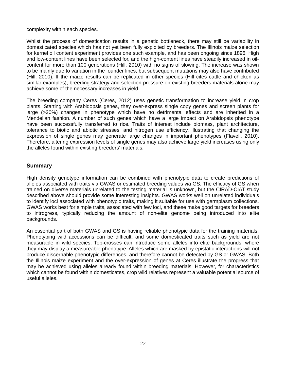complexity within each species.

Whilst the process of domestication results in a genetic bottleneck, there may still be variability in domesticated species which has not yet been fully exploited by breeders. The Illinois maize selection for kernel oil content experiment provides one such example, and has been ongoing since 1896. High and low-content lines have been selected for, and the high-content lines have steadily increased in oilcontent for more than 100 generations (Hill, 2010) with no signs of slowing. The increase was shown to be mainly due to variation in the founder lines, but subsequent mutations may also have contributed (Hill, 2010). If the maize results can be replicated in other species (Hill cites cattle and chicken as similar examples), breeding strategy and selection pressure on existing breeders materials alone may achieve some of the necessary increases in yield.

The breeding company Ceres (Ceres, 2012) uses genetic transformation to increase yield in crop plants. Starting with Arabidopsis genes, they over-express single copy genes and screen plants for large (>20%) changes in phenotype which have no detrimental effects and are inherited in a Mendelian fashion. A number of such genes which have a large impact on Arabidopsis phenotype have been successfully transferred to rice. Traits of interest include biomass, plant architecture, tolerance to biotic and abiotic stresses, and nitrogen use efficiency, illustrating that changing the expression of single genes may generate large changes in important phenotypes (Flavell, 2010). Therefore, altering expression levels of single genes may also achieve large yield increases using only the alleles found within existing breeders' materials.

### **Summary**

High density genotype information can be combined with phenotypic data to create predictions of alleles associated with traits via GWAS or estimated breeding values via GS. The efficacy of GS when trained on diverse materials unrelated to the testing material is unknown, but the CIRAD-CIAT study described above should provide some interesting insights. GWAS works well on unrelated individuals to identify loci associated with phenotypic traits, making it suitable for use with germplasm collections. GWAS works best for simple traits, associated with few loci, and these make good targets for breeders to introgress, typically reducing the amount of non-elite genome being introduced into elite backgrounds.

An essential part of both GWAS and GS is having reliable phenotypic data for the training materials. Phenotyping wild accessions can be difficult, and some domesticated traits such as yield are not measurable in wild species. Top-crosses can introduce some alleles into elite backgrounds, where they may display a measureable phenotype. Alleles which are masked by epistatic interactions will not produce discernable phenotypic differences, and therefore cannot be detected by GS or GWAS. Both the Illinois maize experiment and the over-expression of genes at Ceres illustrate the progress that may be achieved using alleles already found within breeding materials. However, for characteristics which cannot be found within domesticates, crop wild relatives represent a valuable potential source of useful alleles.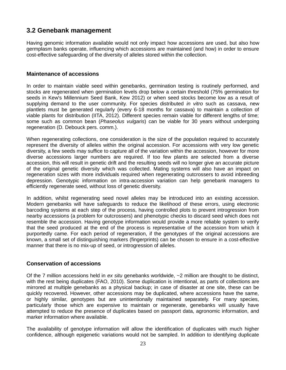# **3.2 Genebank management**

Having genomic information available would not only impact how accessions are used, but also how germplasm banks operate, influencing which accessions are maintained (and how) in order to ensure cost-effective safeguarding of the diversity of alleles stored within the collection.

### **Maintenance of accessions**

In order to maintain viable seed within genebanks, germination testing is routinely performed, and stocks are regenerated when germination levels drop below a certain threshold (75% germination for seeds in Kew's Millennium Seed Bank, Kew 2012) or when seed stocks become low as a result of supplying demand to the user community. For species distributed *in vitro* such as cassava, new plantlets must be generated regularly (every 6-18 months for cassava) to maintain a collection of viable plants for distribution (IITA, 2012). Different species remain viable for different lengths of time; some such as common bean (*Phaseolus vulgaris*) can be viable for 30 years without undergoing regeneration (D. Debouck pers. comm.).

When regenerating collections, one consideration is the size of the population required to accurately represent the diversity of alleles within the original accession. For accessions with very low genetic diversity, a few seeds may suffice to capture all of the variation within the accession, however for more diverse accessions larger numbers are required. If too few plants are selected from a diverse accession, this will result in genetic drift and the resulting seeds will no longer give an accurate picture of the original genetic diversity which was collected. Mating systems will also have an impact on regeneration sizes with more individuals required when regenerating outcrossers to avoid inbreeding depression. Genotypic information on intra-accession variation can help genebank managers to efficiently regenerate seed, without loss of genetic diversity.

In addition, whilst regenerating seed novel alleles may be introduced into an existing accession. Modern genebanks will have safeguards to reduce the likelihood of these errors, using electronic barcoding systems at each step of the process, having controlled plots to prevent introgression from nearby accessions (a problem for outcrossers) and phenotypic checks to discard seed which does not resemble the accession. Having genotype information would provide a more reliable system to verify that the seed produced at the end of the process is representative of the accession from which it purportedly came. For each period of regeneration, if the genotypes of the original accessions are known, a small set of distinguishing markers (fingerprints) can be chosen to ensure in a cost-effective manner that there is no mix-up of seed, or introgression of alleles.

### **Conservation of accessions**

Of the 7 million accessions held in *ex situ* genebanks worldwide, ~2 million are thought to be distinct, with the rest being duplicates (FAO, 2010). Some duplication is intentional, as parts of collections are mirrored at multiple genebanks as a physical backup; in case of disaster at one site, these can be quickly recovered. However, other accessions may be duplicated, where accessions have the same, or highly similar, genotypes but are unintentionally maintained separately. For many species, particularly those which are expensive to maintain or regenerate, genebanks will usually have attempted to reduce the presence of duplicates based on passport data, agronomic information, and marker information where available.

The availability of genotype information will allow the identification of duplicates with much higher confidence, although epigenetic variations would not be sampled. In addition to identifying duplicate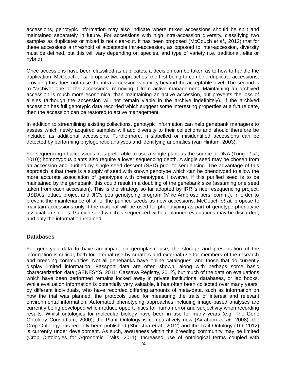accessions, genotypic information may also indicate where mixed accessions should be split and maintained separately in future. For accessions with high intra-accession diversity, classifying two samples as duplicates or mixed is not clear-cut. It has been proposed (McCouch *et al.,* 2012) that for these accessions a threshold of acceptable intra-accession, as opposed to inter-accession, diversity must be defined, but this will vary depending on species, and type of variety (i.e. traditional, elite or hybrid).

Once accessions have been classified as duplicates, a decision can be taken as to how to handle the duplication. McCouch *et al.* propose two approaches, the first being to combine duplicate accessions, providing this does not raise the intra-accession variability beyond the acceptable level. The second is to "archive" one of the accessions, removing it from active management. Maintaining an archived accession is much more economical than maintaining an active accession, but prevents the loss of alleles (although the accession will not remain viable in the archive indefinitely). If the archived accession has full genotypic data recorded which suggest some interesting properties at a future date, then the accession can be restored to active management.

In addition to streamlining existing collections, genotypic information can help genebank managers to assess which newly acquired samples will add diversity to their collections and should therefore be included as additional accessions. Furthermore, mislabelled or misidentified accessions can be detected by performing phylogenetic analyses and identifying anomalies (van Hintum, 2003).

For sequencing of accessions, it is preferable to use a single plant as the source of DNA (Tung *et al.,* 2010); homozygous plants also require a lower sequencing depth. A single seed may be chosen from an accession and purified by single seed descent (SSD) prior to sequencing. The advantage of this approach is that there is a supply of seed with known genotype which can be phenotyped to allow the more accurate association of genotypes with phenotypes. However, if this purified seed is to be maintained by the genebank, this could result in a doubling of the genebank size (assuming one seed taken from each accession). This is the strategy so far adopted by IRRI's rice resequencing project, USDA's lettuce project and JIC's pea genotyping program (Mike Ambrose pers. comm.). In order to prevent the maintenance of all of the purified seeds as new accessions, McCouch *et al.* propose to maintain accessions only if the material will be used for phenotyping as part of genotype-phenotype association studies. Purified seed which is sequenced without planned evaluations may be discarded, and only the information retained.

### **Databases**

For genotypic data to have an impact on germplasm use, the storage and presentation of the information is critical, both for internal use by curators and external use for members of the research and breeding communities. Not all genebanks have online catalogues, and those that do currently display limited information. Passport data are often shown, along with perhaps some basic characterization data (GENESYS, 2011; Cassava Registry, 2012), but much of the data on evaluations which have been performed remains locked away in private institutional databases, or lab books. While evaluation information is potentially very valuable, it has often been collected over many years, by different individuals, who have recorded differing amounts of meta-data, such as information on how the trial was planned, the protocols used for measuring the traits of interest and relevant environmental information. Automated phenotyping approaches including image-based analyses are currently being developed which reduce opportunities for human error and subjectivity when recording results. Whilst ontologies for molecular biology have been in use for many years (e.g. The Gene Ontology Consortium, 2000), the Plant Ontology is comparatively new (Avraham *et al.,* 2008), the Crop Ontology has recently been published (Shrestha *et* al., 2012) and the Trait Ontology (TO, 2012) is currently under development. As such, awareness within the breeding community may be limited (Crop Ontologies for Agronomic Traits, 2011). Increased use of ontological terms coupled with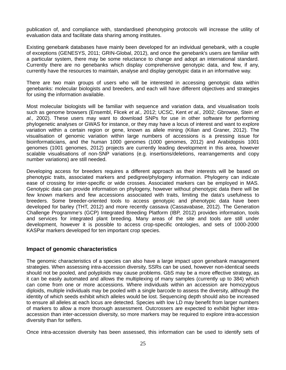publication of, and compliance with, standardised phenotyping protocols will increase the utility of evaluation data and facilitate data sharing among institutes.

Existing genebank databases have mainly been developed for an individual genebank, with a couple of exceptions (GENESYS, 2011; GRIN-Global, 2012), and once the genebank's users are familiar with a particular system, there may be some reluctance to change and adopt an international standard. Currently there are no genebanks which display comprehensive genotypic data, and few, if any, currently have the resources to maintain, analyse and display genotypic data in an informative way.

There are two main groups of users who will be interested in accessing genotypic data within genebanks: molecular biologists and breeders, and each will have different objectives and strategies for using the information available.

Most molecular biologists will be familiar with sequence and variation data, and visualisation tools such as genome browsers (Ensembl, Flicek *et al.,* 2012; UCSC, Kent *et al.,* 2002; Gbrowse, Stein *et al.,* 2002). These users may want to download SNPs for use in other software for performing phylogenetic analyses or GWAS for instance, or they may have a locus of interest and want to explore variation within a certain region or gene, known as allele mining (Kilian and Graner, 2012). The visualisation of genomic variation within large numbers of accessions is a pressing issue for bioinformaticians, and the human 1000 genomes (1000 genomes, 2012) and Arabidopsis 1001 genomes (1001 genomes, 2012) projects are currently leading development in this area, however scalable visualisations of non-SNP variations (e.g. insertions/deletions, rearrangements and copy number variations) are still needed.

Developing access for breeders requires a different approach as their interests will be based on phenotypic traits, associated markers and pedigree/phylogeny information. Phylogeny can indicate ease of crossing for inter-specific or wide crosses. Associated markers can be employed in MAS. Genotypic data can provide information on phylogeny, however without phenotypic data there will be few known markers and few accessions associated with traits, limiting the data's usefulness to breeders. Some breeder-oriented tools to access genotypic and phenotypic data have been developed for barley (THT, 2012) and more recently cassava (Cassavabase, 2012). The Generation Challenge Programme's (GCP) Integrated Breeding Platform (IBP, 2012) provides information, tools and services for integrated plant breeding. Many areas of the site and tools are still under development, however it is possible to access crop-specific ontologies, and sets of 1000-2000 KASPar markers developed for ten important crop species.

### **Impact of genomic characteristics**

The genomic characteristics of a species can also have a large impact upon genebank management strategies. When assessing intra-accession diversity, SSRs can be used, however non-identical seeds should not be pooled, and polyploids may cause problems. GbS may be a more effective strategy, as it can be easily automated and allows the multiplexing of many samples (currently up to 384) which can come from one or more accessions. Where individuals within an accession are homozygous diploids, multiple individuals may be pooled with a single barcode to assess the diversity, although the identity of which seeds exhibit which alleles would be lost. Sequencing depth should also be increased to ensure all alleles at each locus are detected. Species with low LD may benefit from larger numbers of markers to allow a more thorough assessment. Outcrossers are expected to exhibit higher intraaccession than inter-accession diversity, so more markers may be required to explore intra-accession diversity than for selfers.

Once intra-accession diversity has been assessed, this information can be used to identify sets of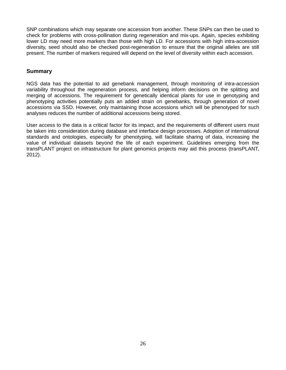SNP combinations which may separate one accession from another. These SNPs can then be used to check for problems with cross-pollination during regeneration and mix-ups. Again, species exhibiting lower LD may need more markers than those with high LD. For accessions with high intra-accession diversity, seed should also be checked post-regeneration to ensure that the original alleles are still present. The number of markers required will depend on the level of diversity within each accession.

### **Summary**

NGS data has the potential to aid genebank management, through monitoring of intra-accession variability throughout the regeneration process, and helping inform decisions on the splitting and merging of accessions. The requirement for genetically identical plants for use in genotyping and phenotyping activities potentially puts an added strain on genebanks, through generation of novel accessions via SSD. However, only maintaining those accessions which will be phenotyped for such analyses reduces the number of additional accessions being stored.

User access to the data is a critical factor for its impact, and the requirements of different users must be taken into consideration during database and interface design processes. Adoption of international standards and ontologies, especially for phenotyping, will facilitate sharing of data, increasing the value of individual datasets beyond the life of each experiment. Guidelines emerging from the transPLANT project on infrastructure for plant genomics projects may aid this process (transPLANT, 2012).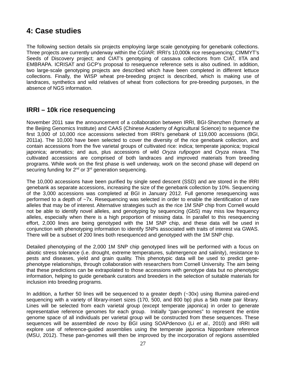# **4: Case studies**

The following section details six projects employing large scale genotyping for genebank collections. Three projects are currently underway within the CGIAR: IRRI's 10,000k rice resequencing; CIMMYT's Seeds of Discovery project; and CIAT's genotyping of cassava collections from CIAT, IITA and EMBRAPA. ICRISAT and GCP's proposal to resequence reference sets is also outlined. In addition, two large-scale genotyping projects are described which have been completed in different lettuce collections. Finally, the WISP wheat pre-breeding project is described, which is making use of landraces, synthetics and wild relatives of wheat from collections for pre-breeding purposes, in the absence of NGS information.

## **IRRI – 10k rice resequencing**

November 2011 saw the announcement of a collaboration between IRRI, BGI-Shenzhen (formerly at the Beijing Genomics Institute) and CAAS (Chinese Academy of Agricultural Science) to sequence the first 3,000 of 10,000 rice accessions selected from IRRI's genebank of 119,000 accessions (BGI, 2011a). The 10,000 have been selected to cover the diversity of the rice genebank collection, and contain accessions from the five varietal groups of cultivated rice: indica; temperate japonica; tropical japonica; aromatics; and aus, plus accessions of wild *Oryza rufipogon* and *Oryza nivara.* The cultivated accessions are comprised of both landraces and improved materials from breeding programs. While work on the first phase is well underway, work on the second phase will depend on securing funding for 2<sup>nd</sup> or 3<sup>rd</sup> generation sequencing.

The 10,000 accessions have been purified by single seed descent (SSD) and are stored in the IRRI genebank as separate accessions, increasing the size of the genebank collection by 10%. Sequencing of the 3,000 accessions was completed at BGI in January 2012. Full genome resequencing was performed to a depth of ~7x. Resequencing was selected in order to enable the identification of rare alleles that may be of interest. Alternative strategies such as the rice 1M SNP chip from Cornell would not be able to identify novel alleles, and genotyping by sequencing (GbS) may miss low frequency alleles, especially when there is a high proportion of missing data. In parallel to this resequencing effort, 2,000 lines are being genotyped with the 1M SNP chip, and these data will be used in conjunction with phenotyping information to identify SNPs associated with traits of interest via GWAS. There will be a subset of 200 lines both resequenced and genotyped with the 1M SNP chip.

Detailed phenotyping of the 2,000 1M SNP chip genotyped lines will be performed with a focus on abiotic stress tolerance (i.e. drought, extreme temperatures, submergence and salinity), resistance to pests and diseases, yield and grain quality. This phenotypic data will be used to predict genephenotype relationships, through collaboration with researchers from Cornell University. The aim being that these predictions can be extrapolated to those accessions with genotype data but no phenotypic information, helping to guide genebank curators and breeders in the selection of suitable materials for inclusion into breeding programs.

In addition, a further 50 lines will be sequenced to a greater depth (~30x) using Illumina paired-end sequencing with a variety of library-insert sizes (170, 500, and 800 bp) plus a 5kb mate pair library. Lines will be selected from each varietal group (except temperate japonica) in order to generate representative reference genomes for each group. Initially "pan-genomes" to represent the entire genome space of all individuals per varietal group will be constructed from these sequences. These sequences will be assembled *de novo* by BGI using SOAPdenovo (Li *et al.,* 2010) and IRRI will explore use of reference-guided assemblies using the temperate japonica Nipponbare reference (MSU, 2012). These pan-genomes will then be improved by the incorporation of regions assembled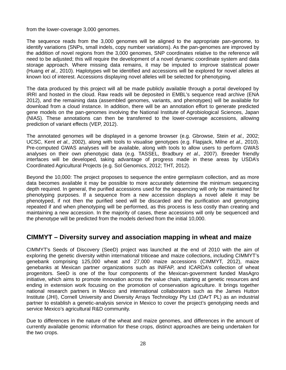from the lower-coverage 3,000 genomes.

The sequence reads from the 3,000 genomes will be aligned to the appropriate pan-genome, to identify variations (SNPs, small indels, copy number variations). As the pan-genomes are improved by the addition of novel regions from the 3,000 genomes, SNP coordinates relative to the reference will need to be adjusted; this will require the development of a novel dynamic coordinate system and data storage approach. Where missing data remains, it may be imputed to improve statistical power (Huang *et al.,* 2010). Haplotypes will be identified and accessions will be explored for novel alleles at known loci of interest. Accessions displaying novel alleles will be selected for phenotyping.

The data produced by this project will all be made publicly available through a portal developed by IRRI and hosted in the cloud. Raw reads will be deposited in EMBL's sequence read archive (ENA 2012), and the remaining data (assembled genomes, variants, and phenotypes) will be available for download from a cloud instance. In addition, there will be an annotation effort to generate predicted gene models on the pan-genomes involving the National Institute of Agrobiological Sciences, Japan (NIAS). These annotations can then be transferred to the lower-coverage accessions, allowing prediction of variant effects (VEP, 2012).

The annotated genomes will be displayed in a genome browser (e.g. Gbrowse, Stein *et al.,* 2002; UCSC, Kent *et al.,* 2002), along with tools to visualise genotypes (e.g. Flapjack, Milne *et al.,* 2010). Pre-computed GWAS analyses will be available, along with tools to allow users to perform GWAS analyses on their own phenotypic data (e.g. TASSEL, Bradbury *et al.,* 2007). Breeder friendly interfaces will be developed, taking advantage of progress made in these areas by USDA's Coordinated Agricultural Projects (e.g. Sol Genomics, 2012; THT, 2012).

Beyond the 10,000: The project proposes to sequence the entire germplasm collection, and as more data becomes available it may be possible to more accurately determine the minimum sequencing depth required. In general, the purified accessions used for the sequencing will only be maintained for phenotyping purposes. If a sequence from a new accession displays a novel allele it may be phenotyped, if not then the purified seed will be discarded and the purification and genotyping repeated if and when phenotyping will be performed, as this process is less costly than creating and maintaining a new accession. In the majority of cases, these accessions will only be sequenced and the phenotype will be predicted from the models derived from the initial 10,000.

## **CIMMYT – Diversity survey and association mapping in wheat and maize**

CIMMYT's Seeds of Discovery (SeeD) project was launched at the end of 2010 with the aim of exploring the genetic diversity within international triticeae and maize collections, including CIMMYT's genebank comprising 125,000 wheat and 27,000 maize accessions (CIMMYT, 2012), maize genebanks at Mexican partner organizations such as INIFAP, and ICARDA's collection of wheat progenitors. SeeD is one of the four components of the Mexican-government funded MasAgro initiative, which aims to promote innovation across the value chain, starting at genetic resources and ending in extension work focusing on the promotion of conservation agriculture. It brings together national research partners in Mexico and international collaborators such as the James Hutton Institute (JHI), Cornell University and Diversity Arrays Technology Pty Ltd (DArT PL) as an industrial partner to establish a genetic-analysis service in Mexico to cover the project's genotyping needs and service Mexico's agricultural R&D community.

Due to differences in the nature of the wheat and maize genomes, and differences in the amount of currently available genomic information for these crops, distinct approaches are being undertaken for the two crops.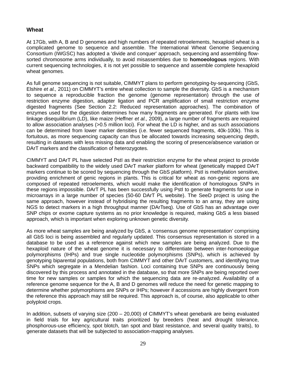### **Wheat**

At 17Gb, with A, B and D genomes and high numbers of repeated retroelements, hexaploid wheat is a complicated genome to sequence and assemble. The International Wheat Genome Sequencing Consortium (IWGSC) has adopted a 'divide and conquer' approach, sequencing and assembling flowsorted chromosome arms individually, to avoid misassemblies due to **homoeologous** regions. With current sequencing technologies, it is not yet possible to sequence and assemble complete hexaploid wheat genomes.

As full genome sequencing is not suitable, CIMMYT plans to perform genotyping-by-sequencing (GbS, Elshire *et al.,* 2011) on CIMMYT's entire wheat collection to sample the diversity. GbS is a mechanism to sequence a reproducible fraction the genome (genome representation) through the use of restriction enzyme digestion, adapter ligation and PCR amplification of small restriction enzyme digested fragments (See Section 2.2: Reduced representation approaches). The combination of enzymes used for the digestion determines how many fragments are generated. For plants with low linkage disequilibrium (LD), like maize (Heffner *et al.,* 2009), a large number of fragments are required to allow association analyses (>0.5 million loci). For wheat the LD is higher, and as such associations can be determined from lower marker densities (i.e. fewer sequenced fragments, 40k-100k). This is fortuitous, as more sequencing capacity can thus be allocated towards increasing sequencing depth, resulting in datasets with less missing data and enabling the scoring of presence/absence variation or DArT markers and the classification of heterozygotes.

CIMMYT and DArT PL have selected PstI as their restriction enzyme for the wheat project to provide backward compatibility to the widely used DArT marker platform for wheat (genetically mapped DArT markers continue to be scored by sequencing through the GbS platform). PstI is methylation sensitive, providing enrichment of genic regions in plants. This is critical for wheat as non-genic regions are composed of repeated retroelements, which would make the identification of homologous SNPs in these regions impossible. DArT PL has been successfully using PstI to generate fragments for use in microarrays in a large number of species (50-60 DArT PL website). The SeeD project is using the same approach, however instead of hybridising the resulting fragments to an array, they are using NGS to detect markers in a high throughput manner (DArTseq). Use of GbS has an advantage over SNP chips or exome capture systems as no prior knowledge is required, making GbS a less biased approach, which is important when exploring unknown genetic diversity.

As more wheat samples are being analyzed by GbS, a 'consensus genome representation' comprising all GbS loci is being assembled and regularly updated. This consensus representation is stored in a database to be used as a reference against which new samples are being analyzed. Due to the hexaploid nature of the wheat genome it is necessary to differentiate between inter-homoeologue polymorphisms (IHPs) and true single nucleotide polymorphisms (SNPs), which is achieved by genotyping biparental populations, both from CIMMYT and other DArT customers, and identifying true SNPs which segregate in a Mendelian fashion. Loci containing true SNPs are continuously being discovered by this process and annotated in the database, so that more SNPs are being reported over time for new samples or samples for which the sequencing data are re-analyzed. Availability of a reference genome sequence for the A, B and D genomes will reduce the need for genetic mapping to determine whether polymorphisms are SNPs or IHPs; however if accessions are highly divergent from the reference this approach may still be required. This approach is, of course, also applicable to other polyploid crops.

In addition, subsets of varying size (200 – 20,000) of CIMMYT's wheat genebank are being evaluated in field trials for key agricultural traits prioritized by breeders (heat and drought tolerance, phosphorous-use efficiency, spot blotch, tan spot and blast resistance, and several quality traits), to generate datasets that will be subjected to association-mapping analyses.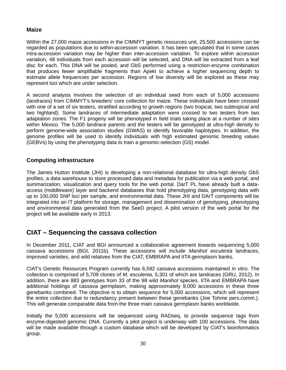### **Maize**

Within the 27,000 maize accessions in the CIMMYT genetic resources unit, 25,500 accessions can be regarded as populations due to within-accession variation. It has been speculated that in some cases intra-accession variation may be higher than inter-accession variation. To explore within accession variation, 48 individuals from each accession will be selected, and DNA will be extracted from a leaf disc for each. This DNA will be pooled, and GbS performed using a restriction-enzyme combination that produces fewer amplifiable fragments than ApekI to achieve a higher sequencing depth to estimate allele frequencies per accession. Regions of low diversity will be explored as these may represent loci which are under selection.

A second analysis involves the selection of an individual seed from each of 5,000 accessions (landraces) from CIMMYT's breeders' core collection for maize. These individuals have been crossed with one of a set of six testers, stratified according to growth regions (two tropical, two subtropical and two highland). Some landraces of intermediate adaptation were crossed to two testers from two adaptation zones. The F1 progeny will be phenotyped in field trials taking place at a number of sites within Mexico. The 5,000 landrace parents and the testers will be genotyped at ultra-high density to perform genome-wide association studies (GWAS) to identify favorable haplotypes. In addition, the genome profiles will be used to identify individuals with high estimated genomic breeding values (GEBVs) by using the phenotyping data to train a genomic-selection (GS) model.

### **Computing infrastructure**

The James Hutton Institute (JHI) is developing a non-relational database for ultra-high density GbS profiles, a data warehouse to store processed data and metadata for publication via a web portal, and summarization, visualization and query tools for the web portal. DarT PL have already built a dataaccess (middleware) layer and backend databases that hold phenotyping data, genotyping data with up to 100,000 SNP loci per sample, and environmental data. These JHI and DArT components will be integrated into an IT platform for storage, management and dissemination of genotyping, phenotyping and environmental data generated from the SeeD project. A pilot version of the web portal for the project will be available early in 2013.

## **CIAT – Sequencing the cassava collection**

In December 2011, CIAT and BGI announced a collaborative agreement towards sequencing 5,000 cassava accessions (BGI, 2011b). These accessions will include *Manihot esculenta* landraces, improved varieties, and wild relatives from the CIAT, EMBRAPA and IITA germplasm banks.

CIAT's Genetic Resources Program currently has 6,592 cassava accessions maintained *in vitro*. The collection is comprised of 5,709 clones of *M. esculenta*, 5,301 of which are landraces (GRU, 2012). In addition, there are 883 genotypes from 33 of the 98 wild *Manihot* species. IITA and EMBRAPA have additional holdings of cassava germplasm, making approximately 9,000 accessions in these three genebanks combined. The objective is to obtain sequence for 5,000 accessions, which will represent the entire collection due to redundancy present between these genebanks (Joe Tohme pers.comm.). This will generate comparable data from the three main cassava germplasm banks worldwide.

Initially the 5,000 accessions will be sequenced using RADseq, to provide sequence tags from enzyme-digested genomic DNA. Currently a pilot project is underway with 100 accessions. The data will be made available through a custom database which will be developed by CIAT's bioinformatics group.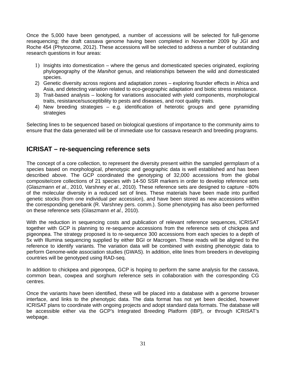Once the 5,000 have been genotyped, a number of accessions will be selected for full-genome resequencing; the draft cassava genome having been completed in November 2009 by JGI and Roche 454 (Phytozome, 2012). These accessions will be selected to address a number of outstanding research questions in four areas:

- 1) Insights into domestication where the genus and domesticated species originated, exploring phylogeography of the *Manihot* genus, and relationships between the wild and domesticated species.
- 2) Genetic diversity across regions and adaptation zones exploring founder effects in Africa and Asia, and detecting variation related to eco-geographic adaptation and biotic stress resistance.
- 3) Trait-based analysis looking for variations associated with yield components, morphological traits, resistance/susceptibility to pests and diseases, and root quality traits.
- 4) New breeding strategies e.g. identification of heterotic groups and gene pyramiding strategies

Selecting lines to be sequenced based on biological questions of importance to the community aims to ensure that the data generated will be of immediate use for cassava research and breeding programs.

### **ICRISAT – re-sequencing reference sets**

The concept of a core collection, to represent the diversity present within the sampled germplasm of a species based on morphological, phenotypic and geographic data is well established and has been described above. The GCP coordinated the genotyping of 32,000 accessions from the global composite/core collections of 21 species with 14-50 SSR markers in order to develop reference sets (Glaszmann *et al.*, 2010, Varshney *et al.*, 2010). These reference sets are designed to capture ~80% of the molecular diversity in a reduced set of lines. These materials have been made into purified genetic stocks (from one individual per accession), and have been stored as new accessions within the corresponding genebank (R. Varshney pers. comm.). Some phenotyping has also been performed on these reference sets (Glaszmann *et al.,* 2010).

With the reduction in sequencing costs and publication of relevant reference sequences, ICRISAT together with GCP is planning to re-sequence accessions from the reference sets of chickpea and pigeonpea. The strategy proposed is to re-sequence 300 accessions from each species to a depth of 5x with Illumina sequencing supplied by either BGI or Macrogen. These reads will be aligned to the reference to identify variants. The variation data will be combined with existing phenotypic data to perform Genome-wide association studies (GWAS). In addition, elite lines from breeders in developing countries will be genotyped using RAD-seq.

In addition to chickpea and pigeonpea, GCP is hoping to perform the same analysis for the cassava, common bean, cowpea and sorghum reference sets in collaboration with the corresponding CG centres.

Once the variants have been identified, these will be placed into a database with a genome browser interface, and links to the phenotypic data. The data format has not yet been decided, however ICRISAT plans to coordinate with ongoing projects and adopt standard data formats. The database will be accessible either via the GCP's Integrated Breeding Platform (IBP), or through ICRISAT's webpage.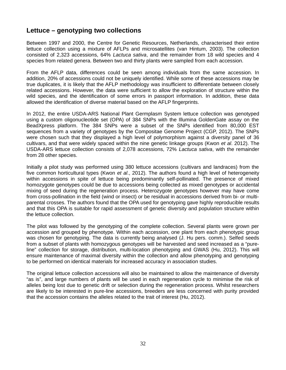# **Lettuce – genotyping two collections**

Between 1997 and 2000, the Centre for Genetic Resources, Netherlands, characterised their entire lettuce collection using a mixture of AFLPs and microsatellites (van Hintum, 2003). The collection consisted of 2,323 accessions, 64% *Lactuca sativa*, and the remainder from 18 wild species and 4 species from related genera. Between two and thirty plants were sampled from each accession.

From the AFLP data, differences could be seen among individuals from the same accession. In addition, 20% of accessions could not be uniquely identified. While some of these accessions may be true duplicates, it is likely that the AFLP methodology was insufficient to differentiate between closely related accessions. However, the data were sufficient to allow the exploration of structure within the wild species, and the identification of some errors in passport information. In addition, these data allowed the identification of diverse material based on the AFLP fingerprints.

In 2012, the entire USDA-ARS National Plant Germplasm System lettuce collection was genotyped using a custom oligonucleotide set (OPA) of 384 SNPs with the Illumina GoldenGate assay on the BeadXpress platform. The 384 SNPs were a subset of the SNPs identified from 80,000 EST sequences from a variety of genotypes by the Compositae Genome Project (CGP, 2012). The SNPs were chosen such that they displayed a high level of polymorphism against a diversity panel of 36 cultivars, and that were widely spaced within the nine genetic linkage groups (Kwon *et al*. 2012). The USDA-ARS lettuce collection consists of 2,078 accessions, 72% *Lactuca sativa*, with the remainder from 28 other species.

Initially a pilot study was performed using 380 lettuce accessions (cultivars and landraces) from the five common horticultural types (Kwon *et al*., 2012). The authors found a high level of heterogeneity within accessions in spite of lettuce being predominantly self-pollinated. The presence of mixed homozygote genotypes could be due to accessions being collected as mixed genotypes or accidental mixing of seed during the regeneration process. Heterozygote genotypes however may have come from cross-pollination in the field (wind or insect) or be residual in accessions derived from bi- or multiparental crosses. The authors found that the OPA used for genotyping gave highly reproducible results and that this OPA is suitable for rapid assessment of genetic diversity and population structure within the lettuce collection.

The pilot was followed by the genotyping of the complete collection. Several plants were grown per accession and grouped by phenotype. Within each accession, one plant from each phenotypic group was chosen for genotyping. The data is currently being analysed (J. Hu pers. comm.). Selfed seeds from a subset of plants with homozygous genotypes will be harvested and seed increased as a "pureline" collection for storage, distribution, multi-location phenotyping and GWAS (Hu, 2012). This will ensure maintenance of maximal diversity within the collection and allow phenotyping and genotyping to be performed on identical materials for increased accuracy in association studies.

The original lettuce collection accessions will also be maintained to allow the maintenance of diversity "as is", and large numbers of plants will be used in each regeneration cycle to minimise the risk of alleles being lost due to genetic drift or selection during the regeneration process. Whilst researchers are likely to be interested in pure-line accessions, breeders are less concerned with purity provided that the accession contains the alleles related to the trait of interest (Hu, 2012).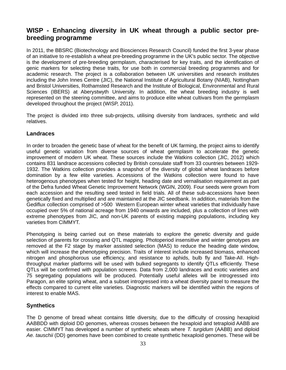# **WISP - Enhancing diversity in UK wheat through a public sector prebreeding programme**

In 2011, the BBSRC (Biotechnology and Biosciences Research Council) funded the first 3-year phase of an initiative to re-establish a wheat pre-breeding programme in the UK's public sector. The objective is the development of pre-breeding germplasm, characterised for key traits, and the identification of genic markers for selecting these traits, for use both in commercial breeding programmes and for academic research. The project is a collaboration between UK universities and research institutes including the John Innes Centre (JIC), the National Institute of Agricultural Botany (NIAB), Nottingham and Bristol Universities, Rothamsted Research and the Institute of Biological, Environmental and Rural Sciences (IBERS) at Aberystwyth University. In addition, the wheat breeding industry is well represented on the steering committee, and aims to produce elite wheat cultivars from the germplasm developed throughout the project (WISP, 2011).

The project is divided into three sub-projects, utilising diversity from landraces, synthetic and wild relatives.

### **Landraces**

In order to broaden the genetic base of wheat for the benefit of UK farming, the project aims to identify useful genetic variation from diverse sources of wheat germplasm to accelerate the genetic improvement of modern UK wheat. These sources include the Watkins collection (JIC, 2012) which contains 831 landrace accessions collected by British consulate staff from 33 countries between 1929- 1932. The Watkins collection provides a snapshot of the diversity of global wheat landraces before domination by a few elite varieties. Accessions of the Watkins collection were found to have heterogenous phenotypes when tested for height, heading date and vernalisation requirement as part of the Defra funded Wheat Genetic Improvement Network (WGIN, 2009). Four seeds were grown from each accession and the resulting seed tested in field trials. All of these sub-accessions have been genetically fixed and multiplied and are maintained at the JIC seedbank. In addition, materials from the Gediflux collection comprised of >500 Western European winter wheat varieties that individually have occupied over 5% of national acreage from 1940 onwards are included, plus a collection of lines with extreme phenotypes from JIC, and non-UK parents of existing mapping populations, including key varieties from CIMMYT.

Phenotyping is being carried out on these materials to explore the genetic diversity and guide selection of parents for crossing and QTL mapping. Photoperiod insensitive and winter genotypes are removed at the F2 stage by marker assisted selection (MAS) to reduce the heading date window, which will increase the phenotyping precision. Traits of interest include increased biomass, enhanced nitrogen and phosphorous use efficiency, and resistance to aphids, bulb fly and Take-All. Highthroughput marker platforms will be used with bulked segregants to identify QTLs efficiently. These QTLs will be confirmed with population screens. Data from 2,000 landraces and exotic varieties and 75 segregating populations will be produced. Potentially useful alleles will be introgressed into Paragon, an elite spring wheat, and a subset introgressed into a wheat diversity panel to measure the effects compared to current elite varieties. Diagnostic markers will be identified within the regions of interest to enable MAS.

### **Synthetics**

The D genome of bread wheat contains little diversity, due to the difficulty of crossing hexaploid AABBDD with diploid DD genomes, whereas crosses between the hexaploid and tetraploid AABB are easier. CIMMYT has developed a number of synthetic wheats where *T. turgidum* (AABB) and diploid *Ae. tauschii* (DD) genomes have been combined to create synthetic hexaploid genomes. These will be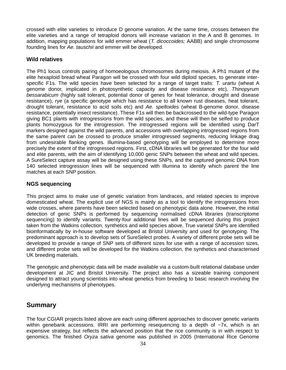crossed with elite varieties to introduce D genome variation. At the same time, crosses between the elite varieties and a range of tetraploid donors will increase variation in the A and B genomes. In addition, mapping populations for wild emmer wheat (*T. dicoccoides;* AABB) and single chromosome founding lines for *Ae. tauschii* and emmer will be developed.

### **Wild relatives**

The Ph1 locus controls pairing of homoeologous chromosomes during meiosis. A Ph1 mutant of the elite hexaploid bread wheat Paragon will be crossed with four wild diploid species, to generate interspecific F1s. The wild species have been selected for a range of target traits: *T. urartu* (wheat A genome donor, implicated in photosynthetic capacity and disease resistance etc), *Thinopyrum bessarabicum* (highly salt tolerant, potential donor of genes for heat tolerance, drought and disease resistance), rye (a specific genotype which has resistance to all known rust diseases, heat tolerant, drought tolerant, resistance to acid soils etc) and *Ae. speltoides* (wheat B-genome donor, disease resistance, potentially insect resistance). These F1s will then be backcrossed to the wild-type Paragon giving BC1 plants with introgressions from the wild species, and these will then be selfed to produce plants homozygous for the introgression. The introgressed regions will be identified using DarT markers designed against the wild parents, and accessions with overlapping introgressed regions from the same parent can be crossed to produce smaller introgressed segments, reducing linkage drag from undesirable flanking genes. Illumina-based genotyping will be employed to determine more precisely the extent of the introgressed regions. First, cDNA libraries will be generated for the four wild and elite parents, with the aim of identifying 10,000 genic SNPs between the wheat and wild species. A SureSelect capture assay will be designed using these SNPs, and the captured genomic DNA from 140 selected introgression lines will be sequenced with Illumina to identify which parent the line matches at each SNP position.

### **NGS sequencing**

This project aims to make use of genetic variation from landraces, and related species to improve domesticated wheat. The explicit use of NGS is mainly as a tool to identify the introgressions from wide crosses, where parents have been selected based on phenotypic data alone. However, the initial detection of genic SNPs is performed by sequencing normalised cDNA libraries (transcriptome sequencing) to identify variants. Twenty-four additional lines will be sequenced during this project taken from the Watkins collection, synthetics and wild species above. True varietal SNPs are identified bioinformatically by in-house software developed at Bristol University and used for genotyping. The predominant approach is to develop sets of SureSelect probes. A variety of different probe sets will be developed to provide a range of SNP sets of different sizes for use with a range of accession sizes, and different probe sets will be developed for the Watkins collection, the synthetics and characterised UK breeding materials.

The genotypic and phenotypic data will be made available via a custom-built relational database under development at JIC and Bristol University. The project also has a sizeable training component designed to attract young scientists into wheat genetics from breeding to basic research involving the underlying mechanisms of phenotypes.

### **Summary**

The four CGIAR projects listed above are each using different approaches to discover genetic variants within genebank accessions. IRRI are performing resequencing to a depth of  $-7x$ , which is an expensive strategy, but reflects the advanced position that the rice community is in with respect to genomics. The finished *Oryza sativa* genome was published in 2005 (International Rice Genome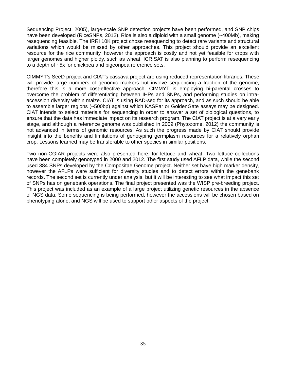Sequencing Project, 2005), large-scale SNP detection projects have been performed, and SNP chips have been developed (RiceSNPs, 2012). Rice is also a diploid with a small genome (~400Mb), making resequencing feasible. The IRRI 10K project chose resequencing to detect rare variants and structural variations which would be missed by other approaches. This project should provide an excellent resource for the rice community, however the approach is costly and not yet feasible for crops with larger genomes and higher ploidy, such as wheat. ICRISAT is also planning to perform resequencing to a depth of ~5x for chickpea and pigeonpea reference sets.

CIMMYT's SeeD project and CIAT's cassava project are using reduced representation libraries. These will provide large numbers of genomic markers but involve sequencing a fraction of the genome, therefore this is a more cost-effective approach. CIMMYT is employing bi-parental crosses to overcome the problem of differentiating between IHPs and SNPs, and performing studies on intraaccession diversity within maize. CIAT is using RAD-seq for its approach, and as such should be able to assemble larger regions (~500bp) against which KASPar or GoldenGate assays may be designed. CIAT intends to select materials for sequencing in order to answer a set of biological questions, to ensure that the data has immediate impact on its research program. The CIAT project is at a very early stage, and although a reference genome was published in 2009 (Phytozome, 2012) the community is not advanced in terms of genomic resources. As such the progress made by CIAT should provide insight into the benefits and limitations of genotyping germplasm resources for a relatively orphan crop. Lessons learned may be transferable to other species in similar positions.

Two non-CGIAR projects were also presented here, for lettuce and wheat. Two lettuce collections have been completely genotyped in 2000 and 2012. The first study used AFLP data, while the second used 384 SNPs developed by the Compositae Genome project. Neither set have high marker density, however the AFLPs were sufficient for diversity studies and to detect errors within the genebank records. The second set is currently under analysis, but it will be interesting to see what impact this set of SNPs has on genebank operations. The final project presented was the WISP pre-breeding project. This project was included as an example of a large project utilizing genetic resources in the absence of NGS data. Some sequencing is being performed, however the accessions will be chosen based on phenotyping alone, and NGS will be used to support other aspects of the project.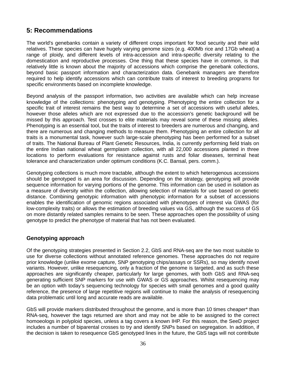# **5: Recommendations**

The world's genebanks contain a variety of different crops important for food security and their wild relatives. These species can have hugely varying genome sizes (e.g. 400Mb rice and 17Gb wheat) a range of ploidy, and different levels of intra-accession and intra-specific diversity relating to the domestication and reproductive processes. One thing that these species have in common, is that relatively little is known about the majority of accessions which comprise the genebank collections, beyond basic passport information and characterization data. Genebank managers are therefore required to help identify accessions which can contribute traits of interest to breeding programs for specific environments based on incomplete knowledge.

Beyond analysis of the passport information, two activities are available which can help increase knowledge of the collections: phenotyping and genotyping. Phenotyping the entire collection for a specific trait of interest remains the best way to determine a set of accessions with useful alleles, however those alleles which are not expressed due to the accession's genetic background will be missed by this approach. Test crosses to elite materials may reveal some of these missing alleles. Phenotyping is an essential tool, but the traits of interest to breeders are numerous and changing, and there are numerous and changing methods to measure them. Phenotyping an entire collection for all traits is a monumental task, however such large-scale phenotyping has been performed for a subset of traits. The National Bureau of Plant Genetic Resources, India, is currently performing field trials on the entire Indian national wheat germplasm collection, with all 22,000 accessions planted in three locations to perform evaluations for resistance against rusts and foliar diseases, terminal heat tolerance and characterization under optimum conditions (K.C. Bansal, pers. comm.).

Genotyping collections is much more tractable, although the extent to which heterogenous accessions should be genotyped is an area for discussion. Depending on the strategy, genotyping will provide sequence information for varying portions of the genome. This information can be used in isolation as a measure of diversity within the collection, allowing selection of materials for use based on genetic distance. Combining genotypic information with phenotypic information for a subset of accessions enables the identification of genomic regions associated with phenotypes of interest via GWAS (for low-complexity traits) or allows the estimation of breeding values via GS, although the success of GS on more distantly related samples remains to be seen. These approaches open the possibility of using genotype to predict the phenotype of material that has not been evaluated.

### **Genotyping approach**

Of the genotyping strategies presented in Section 2.2, GbS and RNA-seq are the two most suitable to use for diverse collections without annotated reference genomes. These approaches do not require prior knowledge (unlike exome capture, SNP genotyping chips/assays or SSRs), so may identify novel variants. However, unlike resequencing, only a fraction of the genome is targeted, and as such these approaches are significantly cheaper, particularly for large genomes, with both GbS and RNA-seq generating sufficient SNP markers for use with GWAS or GS approaches. Whilst resequencing may be an option with today's sequencing technology for species with small genomes and a good quality reference, the presence of large repetitive regions will continue to make the analysis of resequencing data problematic until long and accurate reads are available.

GbS will provide markers distributed throughout the genome, and is more than 10 times cheaper\* than RNA-seq, however the tags returned are short and may not be able to be assigned to the correct homoeologs in polyploid species, unless a tag covers a known IHP. For this reason, the SeeD project includes a number of biparental crosses to try and identify SNPs based on segregation. In addition, if the decision is taken to resequence GbS genotyped lines in the future, the GbS tags will not contribute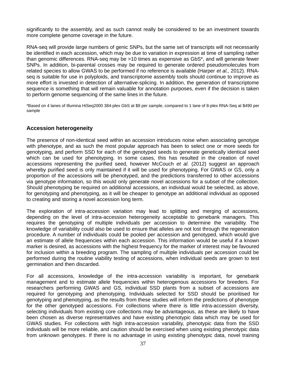significantly to the assembly, and as such cannot really be considered to be an investment towards more complete genome coverage in the future.

RNA-seq will provide large numbers of genic SNPs, but the same set of transcripts will not necessarily be identified in each accession, which may be due to variation in expression at time of sampling rather than genomic differences. RNA-seq may be >10 times as expensive as GbS\*, and will generate fewer SNPs. In addition, bi-parental crosses may be required to generate ordered pseudomolecules from related species to allow GWAS to be performed if no reference is available (Harper *et al.,* 2012). RNAseq is suitable for use in polyploids, and transcriptome assembly tools should continue to improve as more effort is invested in detection of alternative-splicing. In addition, the generation of transcriptome sequence is something that will remain valuable for annotation purposes, even if the decision is taken to perform genome sequencing of the same lines in the future.

\*Based on 4 lanes of Illumina HiSeq2000 384-plex GbS at \$9 per sample, compared to 1 lane of 8-plex RNA-Seq at \$490 per sample

### **Accession heterogeneity**

The presence of non-identical seed within an accession introduces noise when associating genotype with phenotype, and as such the most popular approach has been to select one or more seeds for genotyping, and perform SSD for each of the genotyped seeds to generate genetically identical seed which can be used for phenotyping. In some cases, this has resulted in the creation of novel accessions representing the purified seed, however McCouch *et al.* (2012) suggest an approach whereby purified seed is only maintained if it will be used for phenotyping. For GWAS or GS, only a proportion of the accessions will be phenotyped, and the predictions transferred to other accessions via genotype information, so this would only generate novel accessions for a subset of the collection. Should phenotyping be required on additional accessions, an individual would be selected, as above, for genotyping and phenotyping, as it will be cheaper to genotype an additional individual as opposed to creating and storing a novel accession long term.

The exploration of intra-accession variation may lead to splitting and merging of accessions, depending on the level of intra-accession heterogeneity acceptable to genebank managers. This requires the genotyping of multiple individuals per accession to determine the variability. The knowledge of variability could also be used to ensure that alleles are not lost through the regeneration procedure. A number of individuals could be pooled per accession and genotyped, which would give an estimate of allele frequencies within each accession. This information would be useful if a known marker is desired, as accessions with the highest frequency for the marker of interest may be favoured for inclusion within a breeding program. The sampling of multiple individuals per accession could be performed during the routine viability testing of accessions, when individual seeds are grown to test germination and then discarded.

For all accessions, knowledge of the intra-accession variability is important, for genebank management and to estimate allele frequencies within heterogenous accessions for breeders. For researchers performing GWAS and GS, individual SSD plants from a subset of accessions are required for genotyping and phenotyping. Individuals selected for SSD should be prioritised for genotyping and phenotyping, as the results from these studies will inform the predictions of phenotype for the other genotyped accessions. For collections where there is little intra-accession diversity, selecting individuals from existing core collections may be advantageous, as these are likely to have been chosen as diverse representatives and have existing phenotypic data which may be used for GWAS studies. For collections with high intra-accession variability, phenotypic data from the SSD individuals will be more reliable, and caution should be exercised when using existing phenotypic data from unknown genotypes. If there is no advantage in using existing phenotypic data, novel training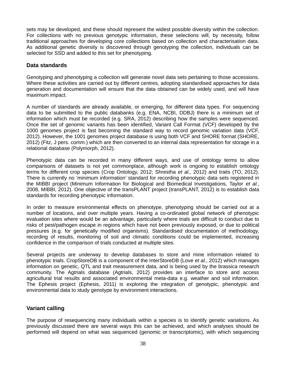sets may be developed, and these should represent the widest possible diversity within the collection. For collections with no previous genotypic information, these selections will, by necessity, follow traditional approaches for developing core collections based on collection and characterisation data. As additional genetic diversity is discovered through genotyping the collection, individuals can be selected for SSD and added to this set for phenotyping.

### **Data standards**

Genotyping and phenotyping a collection will generate novel data sets pertaining to those accessions. Where these activities are carried out by different centres, adopting standardised approaches for data generation and documentation will ensure that the data obtained can be widely used, and will have maximum impact.

A number of standards are already available, or emerging, for different data types. For sequencing data to be submitted to the public databanks (e,g. ENA, NCBI, DDBJ) there is a minimum set of information which must be recorded (e.g. SRA, 2012) describing how the samples were sequenced. Once the set of genomic variants has been identified, Variant Call Format (VCF) developed by the 1000 genomes project is fast becoming the standard way to record genomic variation data (VCF, 2012). However, the 1001 genomes project database is using both VCF and SHORE format (SHORE, 2012) (Fitz, J pers. comm.) which are then converted to an internal data representation for storage in a relational database (Polymorph, 2012).

Phenotypic data can be recorded in many different ways, and use of ontology terms to allow comparisons of datasets is not yet commonplace, although work is ongoing to establish ontology terms for different crop species (Crop Ontology, 2012; Shrestha *et al.,* 2012) and traits (TO, 2012). There is currently no 'minimum information' standard for recording phenotypic data sets registered in the MIBBI project (Minimum Information for Biological and Biomedical Investigations, Taylor *et al.*, 2008, MIBBI, 2012). One objective of the transPLANT project (transPLANT, 2012) is to establish data standards for recording phenotypic information.

In order to measure environmental effects on phenotype, phenotyping should be carried out at a number of locations, and over multiple years. Having a co-ordinated global network of phenotypic evaluation sites where would be an advantage, particularly where trials are difficult to conduct due to risks of pest/pathogen escape in regions which have not been previously exposed, or due to political pressures (e.g. for genetically modified organisms). Standardised documentation of methodology, recording of results, monitoring of soil and climatic conditions could be implemented, increasing confidence in the comparison of trials conducted at multiple sites.

Several projects are underway to develop databases to store and mine information related to phenotypic trials. CropStoreDB is a component of the InterStoreDB (Love *et al.*, 2012) which manages information on genetic, QTL and trait measurement data, and is being used by the brassica research community. The Agtrials database (Agtrials, 2012) provides an interface to store and access agricultural trial results and associated environmental meta-data e.g. weather and soil information. The Ephesis project (Ephesis, 2011) is exploring the integration of genotypic, phenotypic and environmental data to study genotype by environment interactions.

### **Variant calling**

The purpose of resequencing many individuals within a species is to identify genetic variations. As previously discussed there are several ways this can be achieved, and which analyses should be performed will depend on what was sequenced (genomic or transcriptomic), with which sequencing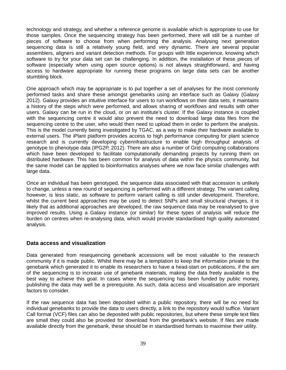technology and strategy, and whether a reference genome is available which is appropriate to use for those samples. Once the sequencing strategy has been performed, there will still be a number of pieces of software to choose from when performing the analysis. Analysing next generation sequencing data is still a relatively young field, and very dynamic. There are several popular assemblers, aligners and variant detection methods. For groups with little experience, knowing which software to try for your data set can be challenging. In addition, the installation of these pieces of software (especially when using open source options) is not always straightforward, and having access to hardware appropriate for running these programs on large data sets can be another stumbling block.

One approach which may be appropriate is to put together a set of analyses for the most commonly performed tasks and share these amongst genebanks using an interface such as Galaxy (Galaxy 2012). Galaxy provides an intuitive interface for users to run workflows on their data sets; it maintains a history of the steps which were performed, and allows sharing of workflows and results with other users. Galaxy can be run in the cloud, or on an institute's cluster. If the Galaxy instance is coupled with the sequencing centre it would also prevent the need to download large data files from the sequencing centre to the user, who would then need to upload them in order to perform the analysis. This is the model currently being investigated by TGAC, as a way to make their hardware available to external users. The iPlant platform provides access to high performance computing for plant science research and is currently developing cyberinfrastructure to enable high throughput analysis of genotype to phenotype data (IPG2P, 2012). There are also a number of Grid computing collaborations which have been developed to facilitate computationally demanding projects by running them on distributed hardware. This has been common for analysis of data within the physics community, but the same model can be applied to bioinformatics analyses where we now face similar challenges with large data.

Once an individual has been genotyped, the sequence data associated with that accession is unlikely to change, unless a new round of sequencing is performed with a different strategy. The variant calling however, is less static, as software to perform variant calling is still under development. Therefore, whilst the current best approaches may be used to detect SNPs and small structural changes, it is likely that as additional approaches are developed, the raw sequence data may be reanalysed to give improved results. Using a Galaxy instance (or similar) for these types of analysis will reduce the burden on centres when re-analysing data, which would provide standardised high quality automated analysis.

### **Data access and visualization**

Data generated from resequencing genebank accessions will be most valuable to the research community if it is made public. Whilst there may be a temptation to keep the information private to the genebank which generated it to enable its researchers to have a head-start on publications, if the aim of the sequencing is to increase use of genebank materials, making the data freely available is the best way to achieve this goal. In cases where the sequencing has been funded by public money, publishing the data may well be a prerequisite. As such, data access and visualisation are important factors to consider.

If the raw sequence data has been deposited within a public repository, there will be no need for individual genebanks to provide the data to users directly, a link to the repository would suffice. Variant Call format (VCF) files can also be deposited with public repositories, but where these simple text files are small they could also be provided for download from the genebank's website. If files are made available directly from the genebank, these should be in standardised formats to maximise their utility.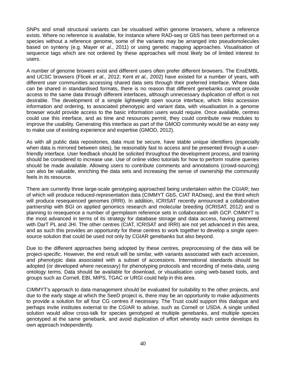SNPs and small structural variants can be visualised within genome browsers, where a reference exists. Where no reference is available, for instance where RAD-seq or GbS has been performed on a species without a reference genome, some of the variants may be arranged into pseudomolecules based on synteny (e.g. Mayer *et al.*, 2011) or using genetic mapping approaches. Visualisation of sequence tags which are not ordered by these approaches will most likely be of limited interest to users.

A number of genome browers exist and different users often prefer different browsers. The EnsEMBL and UCSC browsers (Flicek *et al.,* 2012; Kent *et al.,* 2002) have existed for a number of years, with different user communities accessing shared data sets through their preferred interface. Where data can be shared in standardised formats, there is no reason that different genebanks cannot provide access to the same data through different interfaces, although unnecessary duplication of effort is not desirable. The development of a simple lightweight open source interface, which links accession information and ordering, to associated phenotypic and variant data, with visualisation in a genome browser would provide access to the basic information users would require. Once available, centres could use this interface, and as time and resources permit, they could contribute new modules to improve the usability. Generating this interface as part of the GMOD community would be an easy way to make use of existing experience and expertise (GMOD, 2012).

As with all public data repositories, data must be secure, have stable unique identifiers (especially when data is mirrored between sites), be reasonably fast to access and be presented through a userfriendly interface. User feedback should be solicited throughout the development process, and training should be considered to increase use. Use of online video tutorials for how to perform routine queries should be made available. Allowing users to contribute comments and annotations (crowd-sourcing) can also be valuable, enriching the data sets and increasing the sense of ownership the community feels in its resource.

There are currently three large-scale genotyping approached being undertaken within the CGIAR; two of which will produce reduced-representation data (CIMMYT GbS, CIAT RADseq), and the third which will produce resequenced genomes (IRRI). In addition, ICRISAT recently announced a collaborative partnership with BGI on applied genomics research and molecular breeding (ICRISAT, 2012) and is planning to resequence a number of germplasm reference sets in collaboration with GCP. CIMMYT is the most advanced in terms of its strategy for database storage and data access, having partnered with DarT PL and JHI. The other centres (CIAT, ICRISAT and IRRI) are not yet advanced in this area, and as such this provides an opportunity for these centres to work together to develop a single opensource solution that could be used not only by CGIAR genebanks but also beyond.

Due to the different approaches being adopted by these centres, preprocessing of the data will be project-specific. However, the end result will be similar, with variants associated with each accession, and phenotypic data associated with a subset of accessions. International standards should be adopted (or developed where necessary) for phenotyping protocols and recording of meta-data, using ontology terms. Data should be available for download, or visualisation using web-based tools, and groups such as Cornell, EBI, MIPS, TGAC or URGI could help in this area.

CIMMYT's approach to data management should be evaluated for suitability to the other projects, and due to the early stage at which the SeeD project is, there may be an opportunity to make adjustments to provide a solution for all four CG centres if necessary. The Trust could support this dialogue and perhaps invite institutes external to the CGIAR to advise, such as Cornell or USDA. A single unified solution would allow cross-talk for species genotyped at multiple genebanks, and multiple species genotyped at the same genebank, and avoid duplication of effort whereby each centre develops its own approach independently.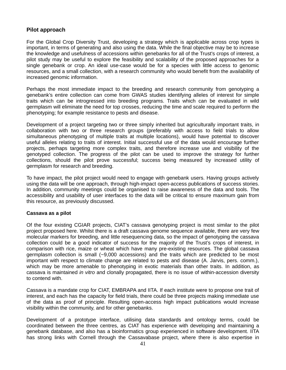### **Pilot approach**

For the Global Crop Diversity Trust, developing a strategy which is applicable across crop types is important, in terms of generating and also using the data. While the final objective may be to increase the knowledge and usefulness of accessions within genebanks for all of the Trust's crops of interest, a pilot study may be useful to explore the feasibility and scalability of the proposed approaches for a single genebank or crop. An ideal use-case would be for a species with little access to genomic resources, and a small collection, with a research community who would benefit from the availability of increased genomic information.

Perhaps the most immediate impact to the breeding and research community from genotyping a genebank's entire collection can come from GWAS studies identifying alleles of interest for simple traits which can be introgressed into breeding programs. Traits which can be evaluated in wild germplasm will eliminate the need for top crosses, reducing the time and scale required to perform the phenotyping; for example resistance to pests and disease.

Development of a project targeting two or three simply inherited but agriculturally important traits, in collaboration with two or three research groups (preferably with access to field trials to allow simultaneous phenotyping of multiple traits at multiple locations), would have potential to discover useful alleles relating to traits of interest. Initial successful use of the data would encourage further projects, perhaps targeting more complex traits, and therefore increase use and visibility of the genotyped collection. The progress of the pilot can be used to improve the strategy for further collections, should the pilot prove successful; success being measured by increased utility of germplasm for research and breeding.

To have impact, the pilot project would need to engage with genebank users. Having groups actively using the data will be one approach, through high-impact open-access publications of success stories. In addition, community meetings could be organised to raise awareness of the data and tools. The accessibility and usability of user interfaces to the data will be critical to ensure maximum gain from this resource, as previously discussed.

### **Cassava as a pilot**

Of the four existing CGIAR projects, CIAT's cassava genotyping project is most similar to the pilot project proposed here. Whilst there is a draft cassava genome sequence available, there are very few molecular markers for breeding, and little resequencing data, so the impact of genotyping the cassava collection could be a good indicator of success for the majority of the Trust's crops of interest, in comparison with rice, maize or wheat which have many pre-existing resources. The global cassava germplasm collection is small (~9,000 accessions) and the traits which are predicted to be most important with respect to climate change are related to pests and disease (A. Jarvis, pers. comm.), which may be more amenable to phenotyping in exotic materials than other traits. In addition, as cassava is maintained *in vitro* and clonally propagated, there is no issue of within-accession diversity to contend with.

Cassava is a mandate crop for CIAT, EMBRAPA and IITA. If each institute were to propose one trait of interest, and each has the capacity for field trials, there could be three projects making immediate use of the data as proof of principle. Resulting open-access high impact publications would increase visibility within the community, and for other genebanks.

Development of a prototype interface, utilising data standards and ontology terms, could be coordinated between the three centres, as CIAT has experience with developing and maintaining a genebank database, and also has a bioinformatics group experienced in software development. IITA has strong links with Cornell through the Cassavabase project, where there is also expertise in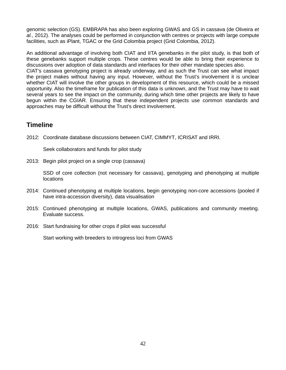genomic selection (GS). EMBRAPA has also been exploring GWAS and GS in cassava (de Oliveira *et al.*, 2012). The analyses could be performed in conjunction with centres or projects with large compute facilities, such as iPlant, TGAC or the Grid Colombia project (Grid Colombia, 2012).

An additional advantage of involving both CIAT and IITA genebanks in the pilot study, is that both of these genebanks support multiple crops. These centres would be able to bring their experience to discussions over adoption of data standards and interfaces for their other mandate species also. CIAT's cassava genotyping project is already underway, and as such the Trust can see what impact the project makes without having any input. However, without the Trust's involvement it is unclear whether CIAT will involve the other groups in development of this resource, which could be a missed opportunity. Also the timeframe for publication of this data is unknown, and the Trust may have to wait several years to see the impact on the community, during which time other projects are likely to have begun within the CGIAR. Ensuring that these independent projects use common standards and approaches may be difficult without the Trust's direct involvement.

# **Timeline**

2012: Coordinate database discussions between CIAT, CIMMYT, ICRISAT and IRRI.

Seek collaborators and funds for pilot study

2013: Begin pilot project on a single crop (cassava)

SSD of core collection (not necessary for cassava), genotyping and phenotyping at multiple locations

- 2014: Continued phenotyping at multiple locations, begin genotyping non-core accessions (pooled if have intra-accession diversity), data visualisation
- 2015: Continued phenotyping at multiple locations, GWAS, publications and community meeting. Evaluate success.
- 2016: Start fundraising for other crops if pilot was successful

Start working with breeders to introgress loci from GWAS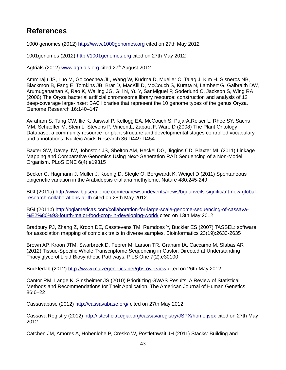# **References**

1000 genomes (2012) [http://www.1000genomes.org](http://www.1000genomes.org/) cited on 27th May 2012

1001genomes (2012) [http://1001genomes.org](http://1001genomes.org/) cited on 27th May 2012

Agtrials (2012) [www.agtrials.org](http://www.agtrials.org/) cited  $27<sup>th</sup>$  August 2012

Ammiraju JS, Luo M, Goicoechea JL, Wang W, Kudrna D, Mueller C, Talag J, Kim H, Sisneros NB, Blackmon B, Fang E, Tomkins JB, Brar D, MacKill D, McCouch S, Kurata N, Lambert G, Galbraith DW, Arumuganathan K, Rao K, Walling JG, Gill N, Yu Y, SanMiguel P, Soderlund C, Jackson S, Wing RA (2006) The Oryza bacterial artificial chromosome library resource: construction and analysis of 12 deep-coverage large-insert BAC libraries that represent the 10 genome types of the genus Oryza. Genome Research 16:140–147

Avraham S, Tung CW, Ilic K, Jaiswal P, Kellogg EA, McCouch S, PujarA,Reiser L, Rhee SY, Sachs MM, Schaeffer M, Stein L, Stevens P, VincentL, Zapata F, Ware D (2008) The Plant Ontology Database: a community resource for plant structure and developmental stages controlled vocabulary and annotations. Nucleic Acids Research 36:D449-D454

Baxter SW, Davey JW, Johnston JS, Shelton AM, Heckel DG, Jiggins CD, Blaxter ML (2011) Linkage Mapping and Comparative Genomics Using Next-Generation RAD Sequencing of a Non-Model Organism. PLoS ONE 6(4):e19315

Becker C, Hagmann J, Muller J, Koenig D, Stegle O, Borgwardt K, Weigel D (2011) Spontaneous epigenetic variation in the Arabidopsis thaliana methylome. Nature 480:245-249

BGI (2011a) [http://www.bgisequence.com/eu/newsandevents/news/bgi-unveils-significant-new-global](http://www.bgisequence.com/eu/newsandevents/news/bgi-unveils-significant-new-global-research-collaborations-at-th)[research-collaborations-at-th](http://www.bgisequence.com/eu/newsandevents/news/bgi-unveils-significant-new-global-research-collaborations-at-th) cited on 28th May 2012

BGI (2011b) [http://bgiamericas.com/collaboration-for-large-scale-genome-sequencing-of-cassava-](http://bgiamericas.com/collaboration-for-large-scale-genome-sequencing-of-cassava-%E2%80%93-fourth-major-food-crop-in-developing-world/) [%E2%80%93-fourth-major-food-crop-in-developing-world/](http://bgiamericas.com/collaboration-for-large-scale-genome-sequencing-of-cassava-%E2%80%93-fourth-major-food-crop-in-developing-world/) cited on 13th May 2012

Bradbury PJ, Zhang Z, Kroon DE, Casstevens TM, Ramdoss Y, Buckler ES (2007) TASSEL: software for association mapping of complex traits in diverse samples. Bioinformatics 23(19):2633-2635

Brown AP, Kroon JTM, Swarbreck D, Febrer M, Larson TR, Graham IA, Caccamo M, Slabas AR (2012) Tissue-Specific Whole Transcriptome Sequencing in Castor, Directed at Understanding Triacylglycerol Lipid Biosynthetic Pathways. PloS One 7(2):e30100

Bucklerlab (2012)<http://www.maizegenetics.net/gbs-overview>cited on 26th May 2012

Cantor RM, Lange K, Sinsheimer JS (2010) Prioritizing GWAS Results: A Review of Statistical Methods and Recommendations for Their Application. The American Journal of Human Genetics 86:6–22

Cassavabase (2012)<http://cassavabase.org/>cited on 27th May 2012

Cassava Registry (2012)<http://istest.ciat.cgiar.org/cassavaregistry/JSPX/home.jspx>cited on 27th May 2012

Catchen JM, Amores A, Hohenlohe P, Cresko W, Postlethwait JH (2011) Stacks: Building and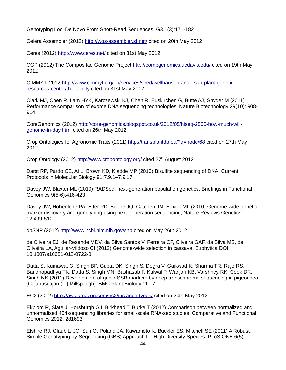Genotyping Loci De Novo From Short-Read Sequences. G3 1(3):171-182

Celera Assembler (2012)<http://wgs-assembler.sf.net/>cited on 20th May 2012

Ceres (2012)<http://www.ceres.net/>cited on 31st May 2012

CGP (2012) The Compositae Genome Project<http://compgenomics.ucdavis.edu/> cited on 19th May 2012

CIMMYT, 2012 [http://www.cimmyt.org/en/services/seed/wellhausen-anderson-plant-genetic](http://www.cimmyt.org/en/services/seed/wellhausen-anderson-plant-genetic-resources-center/the-facility)[resources-center/the-facility](http://www.cimmyt.org/en/services/seed/wellhausen-anderson-plant-genetic-resources-center/the-facility) cited on 31st May 2012

Clark MJ, Chen R, Lam HYK, Karczewski KJ, Chen R, Euskirchen G, Butte AJ, Snyder M (2011) Performance comparison of exome DNA sequencing technologies. Nature Biotechnology 29(10): 908- 914

CoreGenomics (2012) [http://core-genomics.blogspot.co.uk/2012/05/hiseq-2500-how-much-will](http://core-genomics.blogspot.co.uk/2012/05/hiseq-2500-how-much-will-genome-in-day.html)[genome-in-day.html](http://core-genomics.blogspot.co.uk/2012/05/hiseq-2500-how-much-will-genome-in-day.html) cited on 26th May 2012

Crop Ontologies for Agronomic Traits (2011)<http://transplantdb.eu/?q=node/68> cited on 27th Mav 2012

Crop Ontology (2012)<http://www.cropontology.org/>cited 27<sup>th</sup> August 2012

Darst RP, Pardo CE, Ai L, Brown KD, Kladde MP (2010) Bisulfite sequencing of DNA. Current Protocols in Molecular Biology 91:7.9.1–7.9.17

Davey JW, Blaxter ML (2010) RADSeq: next-generation population genetics. Briefings in Functional Genomics 9(5-6):416-423

Davey JW, Hohenlohe PA, Etter PD, Boone JQ, Catchen JM, Baxter ML (2010) Genome-wide genetic marker discovery and genotyping using next-generation sequencing, Nature Reviews Genetics 12:499-510

dbSNP (2012)<http://www.ncbi.nlm.nih.gov/snp>cited on May 26th 2012

de Oliveira EJ, de Resende MDV, da Silva Santos V, Ferreira CF, Oliveira GAF, da Silva MS, de Oliveira LA, Aguilar-Vildoso CI (2012) Genome-wide selection in cassava. Euphytica DOI: 10.1007/s10681-012-0722-0

Dutta S, Kumawat G, Singh BP, Gupta DK, Singh S, Dogra V, Gaikwad K, Sharma TR, Raje RS, Bandhopadhya TK, Datta S, Singh MN, Bashasab F, Kulwal P, Wanjari KB, Varshney RK, Cook DR, Singh NK (2011) Development of genic-SSR markers by deep transcriptome sequencing in pigeonpea [Cajanuscajan (L.) Millspaugh]. BMC Plant Biology 11:17

EC2 (2012)<http://aws.amazon.com/ec2/instance-types/> cited on 20th May 2012

Ekblom R, Slate J, Horsburgh GJ, Birkhead T, Burke T (2012) Comparison between normalized and unnormalised 454-sequencing libraries for small-scale RNA-seq studies. Comparative and Functional Genomics 2012: 281693

Elshire RJ, Glaubitz JC, Sun Q, Poland JA, Kawamoto K, Buckler ES, Mitchell SE (2011) A Robust, Simple Genotyping-by-Sequencing (GBS) Approach for High Diversity Species. PLoS ONE 6(5):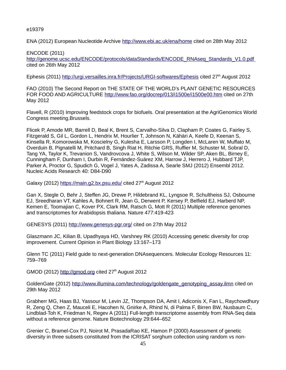e19379

ENA (2012) European Nucleotide Archive<http://www.ebi.ac.uk/ena/home>cited on 28th May 2012

ENCODE (2011) [http://genome.ucsc.edu/ENCODE/protocols/dataStandards/ENCODE\\_RNAseq\\_Standards\\_V1.0.pdf](http://genome.ucsc.edu/ENCODE/protocols/dataStandards/ENCODE_RNAseq_Standards_V1.0.pdf) cited on 26th May 2012

Ephesis (2011)<http://urgi.versailles.inra.fr/Projects/URGI-softwares/Ephesis>cited 27<sup>th</sup> August 2012

FAO (2010) The Second Report on THE STATE OF THE WORLD's PLANT GENETIC RESOURCES FOR FOOD AND AGRICULTURE<http://www.fao.org/docrep/013/i1500e/i1500e00.htm>cited on 27th May 2012

Flavell, R (2010) Improving feedstock crops for biofuels. Oral presentation at the AgriGenomics World Congress meeting,Brussels.

Flicek P, Amode MR, Barrell D, Beal K, Brent S, Carvalho-Silva D, Clapham P, Coates G, Fairley S, Fitzgerald S, Gil L, Gordon L, Hendrix M, Hourlier T, Johnson N, Kähäri A, Keefe D, Keenan S, Kinsella R, Komorowska M, Koscielny G, Kulesha E, Larsson P, Longden I, McLaren W, Muffato M, Overduin B, Pignatelli M, Pritchard B, Singh Riat H, Ritchie GRS, Ruffier M, Schuster M, Sobral D, Tang YA, Taylor K, Trevanion S, Vandrovcova J, White S, Wilson M, Wilder SP, Aken BL, Birney E, Cunningham F, Dunham I, Durbin R, Fernández-Suárez XM, Harrow J, Herrero J, Hubbard TJP, Parker A, Proctor G, Spudich G, Vogel J, Yates A, Zadissa A, Searle SMJ (2012) Ensembl 2012. Nucleic Acids Research 40: D84-D90

Galaxy (2012)<https://main.g2.bx.psu.edu/>cited 27<sup>th</sup> August 2012

Gan X, Stegle O, Behr J, Steffen JG, Drewe P, Hildebrand KL, Lyngsoe R, Schultheiss SJ, Osbourne EJ, Sreedharan VT, Kahles A, Bohnert R, Jean G, Derwent P, Kersey P, Belfield EJ, Harberd NP, Kemen E, Toomajian C, Kover PX, Clark RM, Ratsch G, Mott R (2011) Multiple reference genomes and transcriptomes for Arabidopsis thaliana. Nature 477:419-423

GENESYS (2011)<http://www.genesys-pgr.org/>cited on 27th May 2012

Glaszmann JC, Kilian B, Upadhyaya HD, Varshney RK (2010) Accessing genetic diversity for crop improvement. Current Opinion in Plant Biology 13:167–173

Glenn TC (2011) Field guide to next-generation DNAsequencers. Molecular Ecology Resources 11: 759–769

GMOD (2012) [http://gmod.org](http://gmod.org/) cited  $27<sup>th</sup>$  August 2012

GoldenGate (2012) [http://www.illumina.com/technology/goldengate\\_genotyping\\_assay.ilmn](http://www.illumina.com/technology/goldengate_genotyping_assay.ilmn) cited on 29th May 2012

Grabherr MG, Haas BJ, Yassour M, Levin JZ, Thompson DA, Amit I, Adiconis X, Fan L, Raychowdhury R, Zeng Q, Chen Z, Mauceli E, Hacohen N, Gnirke A, Rhind N, di Palma F, Birren BW, Nusbaum C, Lindblad-Toh K, Friedman N, Regev A (2011) Full-length transcriptome assembly from RNA-Seq data without a reference genome. Nature Biotechnology 29:644–652

Grenier C, Bramel-Cox PJ, Noirot M, PrasadaRao KE, Hamon P (2000) Assessment of genetic diversity in three subsets constituted from the ICRISAT sorghum collection using random vs non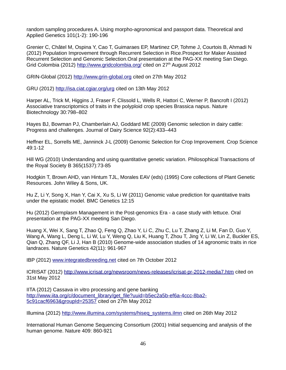random sampling procedures A. Using morpho-agronomical and passport data. Theoretical and Applied Genetics 101(1-2): 190-196

Grenier C, Châtel M, Ospina Y, Cao T, Guimaraes EP, Martinez CP, Tohme J, Courtois B, Ahmadi N (2012) Population Improvement through Recurrent Selection in Rice.Prospect for Maker Assisted Recurrent Selection and Genomic Selection.Oral presentation at the PAG-XX meeting San Diego. Grid Colombia (2012)<http://www.gridcolombia.org/>cited on 27<sup>th</sup> August 2012

GRIN-Global (2012) [http://www.grin-global.org](http://www.grin-global.org/) cited on 27th May 2012

GRU (2012)<http://isa.ciat.cgiar.org/urg>cited on 13th May 2012

Harper AL, Trick M, Higgins J, Fraser F, Clissold L, Wells R, Hattori C, Werner P, Bancroft I (2012) Associative transcriptomics of traits in the polyploid crop species Brassica napus. Nature Biotechnology 30:798–802

Hayes BJ, Bowman PJ, Chamberlain AJ, Goddard ME (2009) Genomic selection in dairy cattle: Progress and challenges. Journal of Dairy Science 92(2):433–443

Heffner EL, Sorrells ME, Janninck J-L (2009) Genomic Selection for Crop Improvement. Crop Science 49:1-12

Hill WG (2010) Understanding and using quantitative genetic variation. Philosophical Transactions of the Royal Society B 365(1537):73-85

Hodgkin T, Brown AHD, van Hintum TJL, Morales EAV (eds) (1995) Core collections of Plant Genetic Resources. John Wiley & Sons, UK.

Hu Z, Li Y, Song X, Han Y, Cai X, Xu S, Li W (2011) Genomic value prediction for quantitative traits under the epistatic model. BMC Genetics 12:15

Hu (2012) Germplasm Management in the Post-genomics Era - a case study with lettuce. Oral presentation at the PAG-XX meeting San Diego.

Huang X, Wei X, Sang T, Zhao Q, Feng Q, Zhao Y, Li C, Zhu C, Lu T, Zhang Z, Li M, Fan D, Guo Y, Wang A, Wang L, Deng L, Li W, Lu Y, Weng Q, Liu K, Huang T, Zhou T, Jing Y, Li W, Lin Z, Buckler ES, Qian Q, Zhang QF, Li J, Han B (2010) Genome-wide association studies of 14 agronomic traits in rice landraces. Nature Genetics 42(11): 961-967

IBP (2012) [www.integratedbreeding.net](http://www.integratedbreeding.net/) cited on 7th October 2012

ICRISAT (2012)<http://www.icrisat.org/newsroom/news-releases/icrisat-pr-2012-media7.htm> cited on 31st May 2012

IITA (2012) Cassava in vitro processing and gene banking [http://www.iita.org/c/document\\_library/get\\_file?uuid=b5ec2a5b-ef6a-4ccc-8ba2-](http://www.iita.org/c/document_library/get_file?uuid=b5ec2a5b-ef6a-4ccc-8ba2-5c91cacf6963&groupId=25357) [5c91cacf6963&groupId=25357](http://www.iita.org/c/document_library/get_file?uuid=b5ec2a5b-ef6a-4ccc-8ba2-5c91cacf6963&groupId=25357) cited on 27th May 2012

Illumina (2012) [http://www.illumina.com/systems/hiseq\\_systems.ilmn](http://www.illumina.com/systems/hiseq_systems.ilmn) cited on 26th May 2012

International Human Genome Sequencing Consortium (2001) Initial sequencing and analysis of the human genome. Nature 409: 860-921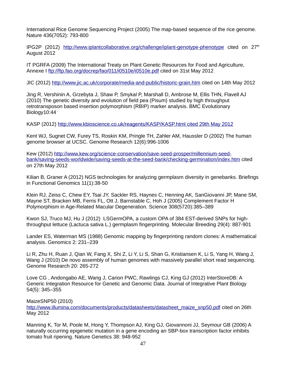International Rice Genome Sequencing Project (2005) The map-based sequence of the rice genome. Nature 436(7052): 793-800

IPG2P (2012) <http://www.iplantcollaborative.org/challenge/iplant-genotype-phenotype>cited on  $27<sup>th</sup>$ August 2012

IT PGRFA (2009) The International Treaty on Plant Genetic Resources for Food and Agriculture, Annexe I<ftp://ftp.fao.org/docrep/fao/011/i0510e/i0510e.pdf>cited on 31st May 2012

JIC (2012)<http://www.jic.ac.uk/corporate/media-and-public/historic-grain.htm>cited on 14th May 2012

Jing R, Vershinin A, Grzebyta J, Shaw P, Smykal P, Marshall D, Ambrose M, Ellis THN, Flavell AJ (2010) The genetic diversity and evolution of field pea (Pisum) studied by high throughput retrotransposon based insertion polymorphism (RBIP) marker analysis. BMC Evolutionary Biology10:44

KASP (2012) [http://www.kbioscience.co.uk/reagents/KASP/KASP.html cited 29th May 2012](http://www.kbioscience.co.uk/reagents/KASP/KASP.html%20cited%2029th%20May%202012)

Kent WJ, Sugnet CW, Furey TS, Roskin KM, Pringle TH, Zahler AM, Haussler D (2002) The human genome browser at UCSC. Genome Research 12(6):996-1006

Kew (2012) [http://www.kew.org/science-conservation/save-seed-prosper/millennium-seed](http://www.kew.org/science-conservation/save-seed-prosper/millennium-seed-bank/saving-seeds-worldwide/saving-seeds-at-the-seed-bank/checking-germination/index.htm)[bank/saving-seeds-worldwide/saving-seeds-at-the-seed-bank/checking-germination/index.htm](http://www.kew.org/science-conservation/save-seed-prosper/millennium-seed-bank/saving-seeds-worldwide/saving-seeds-at-the-seed-bank/checking-germination/index.htm) cited on 27th May 2012

Kilian B, Graner A (2012) NGS technologies for analyzing germplasm diversity in genebanks. Briefings in Functional Genomics 11(1):38-50

Klein RJ, Zeiss C, Chew EY, Tsai JY, Sackler RS, Haynes C, Henning AK, SanGiovanni JP, Mane SM, Mayne ST, Bracken MB, Ferris FL, Ott J, Barnstable C, Hoh J (2005) Complement Factor H Polymorphism in Age-Related Macular Degeneration. Science 308(5720):385–389

Kwon SJ, Truco MJ, Hu J (2012) LSGermOPA, a custom OPA of 384 EST-derived SNPs for highthroughput lettuce (Lactuca sativa L.) germplasm fingerprinting. Molecular Breeding 29(4): 887-901

Lander ES, Waterman MS (1988) Genomic mapping by fingerprinting random clones: A mathematical analysis. Genomics 2: 231–239

Li R, Zhu H, Ruan J, Qian W, Fang X, Shi Z, Li Y, Li S, Shan G, Kristiansen K, Li S, Yang H, Wang J, Wang J (2010) De novo assembly of human genomes with massively parallel short read sequencing. Genome Research 20: 265-272

Love CG , Andongabo AE, Wang J, Carion PWC, Rawlings CJ, King GJ (2012) InterStoreDB: A Generic Integration Resource for Genetic and Genomic Data. Journal of Integrative Plant Biology 54(5): 345–355

MaizeSNP50 (2010)

[http://www.illumina.com/documents/products/datasheets/datasheet\\_maize\\_snp50.pdf](http://www.illumina.com/documents/products/datasheets/datasheet_maize_snp50.pdf) cited on 26th May 2012

Manning K, Tor M, Poole M, Hong Y, Thompson AJ, King GJ, Giovannoni JJ, Seymour GB (2006) A naturally occurring epigenetic mutation in a gene encoding an SBP-box transcription factor inhibits tomato fruit ripening. Nature Genetics 38: 948-952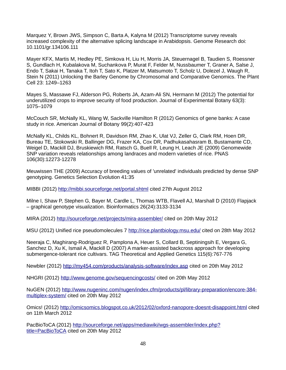Marquez Y, Brown JWS, Simpson C, Barta A, Kalyna M (2012) Transcriptome survey reveals increased complexity of the alternative splicing landscape in Arabidopsis. Genome Research doi: 10.1101/gr.134106.111

Mayer KFX, Martis M, Hedley PE, Simkova H, Liu H, Morris JA, Steuernagel B, Taudien S, Roessner S, Gundlach H, Kubalakova M, Suchankova P, Murat F, Felder M, Nussbaumer T, Graner A, Salse J, Endo T, Sakai H, Tanaka T, Itoh T, Sato K, Platzer M, Matsumoto T, Scholz U, Dolezel J, Waugh R, Stein N (2011) Unlocking the Barley Genome by Chromosomal and Comparative Genomics. The Plant Cell 23: 1249–1263

Mayes S, Massawe FJ, Alderson PG, Roberts JA, Azam-Ali SN, Hermann M (2012) The potential for underutilized crops to improve security of food production. Journal of Experimental Botany 63(3): 1075–1079

McCouch SR, McNally KL, Wang W, Sackville Hamilton R (2012) Genomics of gene banks: A case study in rice. American Journal of Botany 99(2):407-423

McNally KL, Childs KL, Bohnert R, Davidson RM, Zhao K, Ulat VJ, Zeller G, Clark RM, Hoen DR, Bureau TE, Stokowski R, Ballinger DG, Frazer KA, Cox DR, Padhukasahasram B, Bustamante CD, Weigel D, Mackill DJ, Bruskiewich RM, Ratsch G, Buell R, Leung H, Leach JE (2009) Genomewide SNP variation reveals relationships among landraces and modern varieties of rice. PNAS 106(30):12273-12278

Meuwissen THE (2009) Accuracy of breeding values of 'unrelated' individuals predicted by dense SNP genotyping. Genetics Selection Evolution 41:35

MIBBI (2012)<http://mibbi.sourceforge.net/portal.shtml>cited 27th August 2012

Milne I, Shaw P, Stephen G, Bayer M, Cardle L, Thomas WTB, Flavell AJ, Marshall D (2010) Flapjack – graphical genotype visualization. Bioinformatics 26(24):3133-3134

MIRA (2012)<http://sourceforge.net/projects/mira-assembler/>cited on 20th May 2012

MSU (2012) Unified rice pseudomolecules 7<http://rice.plantbiology.msu.edu/>cited on 28th May 2012

Neeraja C, Maghirang-Rodriguez R, Pamplona A, Heuer S, Collard B, Septiningsih E, Vergara G, Sanchez D, Xu K, Ismail A, Mackill D (2007) A marker-assisted backcross approach for developing submergence-tolerant rice cultivars. TAG Theoretical and Applied Genetics 115(6):767-776

Newbler (2012)<http://my454.com/products/analysis-software/index.asp>cited on 20th May 2012

NHGRI (2012)<http://www.genome.gov/sequencingcosts/>cited on 20th May 2012

NuGEN (2012) [http://www.nugeninc.com/nugen/index.cfm/products/pl/library-preparation/encore-384](http://www.nugeninc.com/nugen/index.cfm/products/pl/library-preparation/encore-384-multiplex-system/) [multiplex-system/](http://www.nugeninc.com/nugen/index.cfm/products/pl/library-preparation/encore-384-multiplex-system/) cited on 20th May 2012

Omics! (2012)<http://omicsomics.blogspot.co.uk/2012/02/oxford-nanopore-doesnt-disappoint.html>cited on 11th March 2012

PacBioToCA (2012) [http://sourceforge.net/apps/mediawiki/wgs-assembler/index.php?](http://sourceforge.net/apps/mediawiki/wgs-assembler/index.php?title=PacBioToCA) [title=PacBioToCA](http://sourceforge.net/apps/mediawiki/wgs-assembler/index.php?title=PacBioToCA) cited on 20th May 2012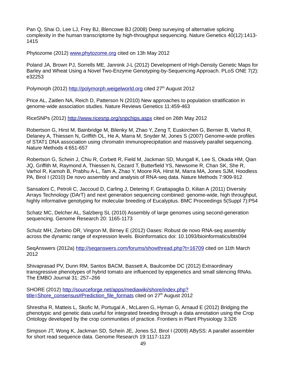Pan Q, Shai O, Lee LJ, Frey BJ, Blencowe BJ (2008) Deep surveying of alternative splicing complexity in the human transcriptome by high-throughput sequencing. Nature Genetics 40(12):1413- 1415

Phytozome (2012) [www.phytozome.org](http://www.phytozome.org/) cited on 13h May 2012

Poland JA, Brown PJ, Sorrells ME, Jannink J-L (2012) Development of High-Density Genetic Maps for Barley and Wheat Using a Novel Two-Enzyme Genotyping-by-Sequencing Approach. PLoS ONE 7(2): e32253

Polymorph (2012) [http://polymorph.weigelworld.org](http://polymorph.weigelworld.org/) cited 27<sup>th</sup> August 2012

Price AL, Zaitlen NA, Reich D, Patterson N (2010) New approaches to population stratification in genome-wide association studies. Nature Reviews Genetics 11:459-463

RiceSNPs (2012)<http://www.ricesnp.org/snpchips.aspx>cited on 26th May 2012

Robertson G, Hirst M, Bainbridge M, Bilenky M, Zhao Y, Zeng T, Euskirchen G, Bernier B, Varhol R, Delaney A, Thiessen N, Griffith OL, He A, Marra M, Snyder M, Jones S (2007) Genome-wide profiles of STAT1 DNA association using chromatin immunoprecipitation and massively parallel sequencing. Nature Methods 4:651-657

Robertson G, Schein J, Chiu R, Corbett R, Field M, Jackman SD, Mungall K, Lee S, Okada HM, Qian JQ, Griffith M, Raymond A, Thiessen N, Cezard T, Butterfield YS, Newsome R, Chan SK, She R, Varhol R, Kamoh B, Prabhu A-L, Tam A, Zhao Y, Moore RA, Hirst M, Marra MA, Jones SJM, Hoodless PA, Birol I (2010) De novo assembly and analysis of RNA-seq data. Nature Methods 7:909-912

Sansaloni C, Petroli C, Jaccoud D, Carling J, Detering F, Grattapaglia D, Kilian A (2011) Diversity Arrays Technology (DArT) and next generation sequencing combined: genome-wide, high throughput, highly informative genotyping for molecular breeding of Eucalyptus. BMC Proceedings 5(Suppl 7):P54

Schatz MC, Delcher AL, Salzberg SL (2010) Assembly of large genomes using second-generation sequencing. Genome Research 20: 1165-1173

Schulz MH, Zerbino DR, Vingron M, Birney E (2012) Oases: Robust de novo RNA-seq assembly across the dynamic range of expression levels. Bioinformatics doi: 10.1093/bioinformatics/bts094

SeqAnswers (2012a)<http://seqanswers.com/forums/showthread.php?t=16709>cited on 11th March 2012

Shivaprasad PV, Dunn RM, Santos BACM, Bassett A, Baulcombe DC (2012) Extraordinary transgressive phenotypes of hybrid tomato are influenced by epigenetics and small silencing RNAs. The EMBO Journal 31: 257–266

SHORE (2012) [http://sourceforge.net/apps/mediawiki/shore/index.php?](http://sourceforge.net/apps/mediawiki/shore/index.php?title=Shore_consensus#Prediction_file_formats) [title=Shore\\_consensus#Prediction\\_file\\_formats](http://sourceforge.net/apps/mediawiki/shore/index.php?title=Shore_consensus#Prediction_file_formats) cited on 27<sup>th</sup> August 2012

Shrestha R, Matteis L, Skofic M, Portugal A , McLaren G, Hyman G, Arnaud E (2012) Bridging the phenotypic and genetic data useful for integrated breeding through a data annotation using the Crop Ontology developed by the crop communities of practice. Frontiers in Plant Physiology 3:326

Simpson JT, Wong K, Jackman SD, Schein JE, Jones SJ, Birol I (2009) ABySS: A parallel assembler for short read sequence data. Genome Research 19:1117-1123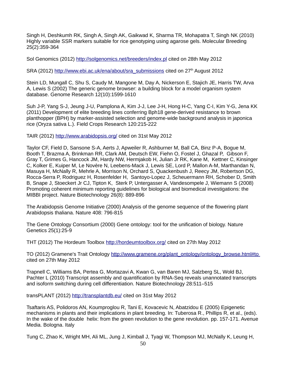Singh H, Deshkumh RK, Singh A, Singh AK, Gaikwad K, Sharma TR, Mohapatra T, Singh NK (2010) Highly variable SSR markers suitable for rice genotyping using agarose gels. Molecular Breeding 25(2):359-364

Sol Genomics (2012)<http://solgenomics.net/breeders/index.pl>cited on 28th May 2012

SRA (2012) [http://www.ebi.ac.uk/ena/about/sra\\_submissions](http://www.ebi.ac.uk/ena/about/sra_submissions) cited on 27<sup>th</sup> August 2012

Stein LD, Mungall C, Shu S, Caudy M, Mangone M, Day A, Nickerson E, Stajich JE, Harris TW, Arva A, Lewis S (2002) The generic genome browser: a building block for a model organism system database. Genome Research 12(10):1599-1610

Suh J-P, Yang S-J, Jeung J-U, Pamplona A, Kim J-J, Lee J-H, Hong H-C, Yang C-I, Kim Y-G, Jena KK (2011) Development of elite breeding lines conferring Bph18 gene-derived resistance to brown planthopper (BPH) by marker-assisted selection and genome-wide background analysis in japonica rice (Oryza sativa L.). Field Crops Research 120:215-222

TAIR (2012)<http://www.arabidopsis.org/>cited on 31st May 2012

Taylor CF, Field D, Sansone S-A, Aerts J, Apweiler R, Ashburner M, Ball CA, Binz P-A, Bogue M, Booth T, Brazma A, Brinkman RR, Clark AM, Deutsch EW, Fiehn O, Fostel J, Ghazal P, Gibson F, Gray T, Grimes G, Hancock JM, Hardy NW, Hermjakob H, Julian Jr RK, Kane M, Kettner C, Kinsinger C, Kolker E, Kuiper M, Le Novère N, Leebens-Mack J, Lewis SE, Lord P, Mallon A-M, Marthandan N, Masuya H, McNally R, Mehrle A, Morrison N, Orchard S, Quackenbush J, Reecy JM, Robertson DG, Rocca-Serra P, Rodriguez H, Rosenfelder H, Santoyo-Lopez J, Scheuermann RH, Schober D, Smith B, Snape J, Stoeckert Jr CJ, Tipton K, Sterk P, Untergasser A, Vandesompele J, Wiemann S (2008) Promoting coherent minimum reporting guidelines for biological and biomedical investigations: the MIBBI project. Nature Biotechnology 26(8): 889-896

The Arabidopsis Genome Initiative (2000) Analysis of the genome sequence of the flowering plant Arabidopsis thaliana. Nature 408: 796-815

The Gene Ontology Consortium (2000) Gene ontology: tool for the unification of biology. Nature Genetics 25(1):25-9

THT (2012) The Hordeum Toolbox<http://hordeumtoolbox.org/>cited on 27th May 2012

TO (2012) Gramene's Trait Ontology [http://www.gramene.org/plant\\_ontology/ontology\\_browse.html#to](http://www.gramene.org/plant_ontology/ontology_browse.html#to) cited on 27th May 2012

Trapnell C, Williams BA, Pertea G, Mortazavi A, Kwan G, van Baren MJ, Salzberg SL, Wold BJ, Pachter L (2010) Transcript assembly and quantification by RNA-Seq reveals unannotated transcripts and isoform switching during cell differentiation. Nature Biotechnology 28:511–515

transPLANT (2012)<http://transplantdb.eu/> cited on 31st May 2012

Tsaftaris AS, Polidoros AN, Koumproglou R, Tani E, Kovacevic N, Abatzidou E (2005) Epigenetic mechanisms in plants and their implications in plant breeding. In: Tuberosa R., Phillips R, et al., (eds). In the wake of the double helix: from the green revolution to the gene revolution. pp. 157-171. Avenue Media. Bologna. Italy

Tung C, Zhao K, Wright MH, Ali ML, Jung J, Kimball J, Tyagi W, Thompson MJ, McNally K, Leung H,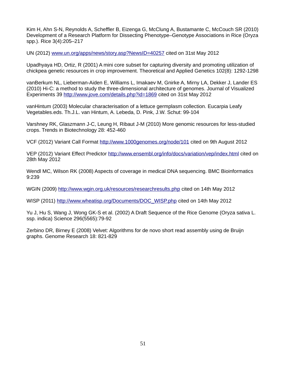Kim H, Ahn S-N, Reynolds A, Scheffler B, Eizenga G, McClung A, Bustamante C, McCouch SR (2010) Development of a Research Platform for Dissecting Phenotype–Genotype Associations in Rice (Oryza spp.). Rice 3(4):205–217

UN (2012) [www.un.org/apps/news/story.asp?NewsID=40257](http://www.un.org/apps/news/story.asp?NewsID=40257) cited on 31st May 2012

Upadhyaya HD, Ortiz, R (2001) A mini core subset for capturing diversity and promoting utilization of chickpea genetic resources in crop improvement. Theoretical and Applied Genetics 102(8): 1292-1298

vanBerkum NL, Lieberman-Aiden E, Williams L, Imakaev M, Gnirke A, Mirny LA, Dekker J, Lander ES (2010) Hi-C: a method to study the three-dimensional architecture of genomes. Journal of Visualized Experiments 39<http://www.jove.com/details.php?id=1869> cited on 31st May 2012

vanHintum (2003) Molecular characterisation of a lettuce germplasm collection. Eucarpia Leafy Vegetables.eds. Th.J.L. van Hintum, A. Lebeda, D. Pink, J.W. Schut: 99-104

Varshney RK, Glaszmann J-C, Leung H, Ribaut J-M (2010) More genomic resources for less-studied crops. Trends in Biotechnology 28: 452-460

VCF (2012) Variant Call Format<http://www.1000genomes.org/node/101>cited on 9th August 2012

VEP (2012) Variant Effect Predictor<http://www.ensembl.org/info/docs/variation/vep/index.html> cited on 28th May 2012

Wendl MC, Wilson RK (2008) Aspects of coverage in medical DNA sequencing. BMC Bioinformatics 9:239

WGIN (2009)<http://www.wgin.org.uk/resources/researchresults.php>cited on 14th May 2012

WISP (2011) [http://www.wheatisp.org/Documents/DOC\\_WISP.php](http://www.wheatisp.org/Documents/DOC_WISP.php) cited on 14th May 2012

Yu J, Hu S, Wang J, Wong GK-S et al. (2002) A Draft Sequence of the Rice Genome (Oryza sativa L. ssp. indica) Science 296(5565):79-92

Zerbino DR, Birney E (2008) Velvet: Algorithms for de novo short read assembly using de Bruijn graphs. Genome Research 18: 821-829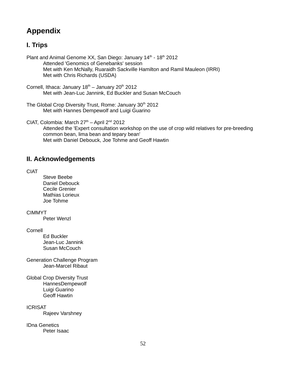# **Appendix**

# **I. Trips**

Plant and Animal Genome XX, San Diego: January  $14<sup>th</sup> - 18<sup>th</sup>$  2012 Attended 'Genomics of Genebanks' session Met with Ken McNally, Ruaraidh Sackville Hamilton and Ramil Mauleon (IRRI) Met with Chris Richards (USDA)

Cornell, Ithaca: January  $18<sup>th</sup>$  – January  $20<sup>th</sup>$  2012 Met with Jean-Luc Jannink, Ed Buckler and Susan McCouch

The Global Crop Diversity Trust, Rome: January 30<sup>th</sup> 2012 Met with Hannes Dempewolf and Luigi Guarino

CIAT, Colombia: March  $27<sup>th</sup>$  – April  $2<sup>nd</sup>$  2012 Attended the 'Expert consultation workshop on the use of crop wild relatives for pre-breeding common bean, lima bean and tepary bean' Met with Daniel Debouck, Joe Tohme and Geoff Hawtin

# **II. Acknowledgements**

CIAT

Steve Beebe Daniel Debouck Cecile Grenier Mathias Lorieux Joe Tohme

CIMMYT

Peter Wenzl

Cornell

Ed Buckler Jean-Luc Jannink Susan McCouch

Generation Challenge Program Jean-Marcel Ribaut

Global Crop Diversity Trust HannesDempewolf Luigi Guarino Geoff Hawtin

**ICRISAT** 

Rajeev Varshney

IDna Genetics Peter Isaac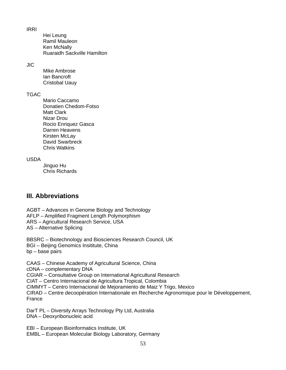IRRI

Hei Leung Ramil Mauleon Ken McNally Ruaraidh Sackville Hamilton

JIC

Mike Ambrose Ian Bancroft Cristobal Uauy

### **TGAC**

Mario Caccamo Donatien Chedom-Fotso Matt Clark Nizar Drou Rocio Enriquez Gasca Darren Heavens Kirsten McLay David Swarbreck Chris Watkins

### USDA

Jinguo Hu Chris Richards

## **III. Abbreviations**

AGBT – Advances in Genome Biology and Technology AFLP – Amplified Fragment Length Polymorphism ARS – Agricultural Research Service, USA AS – Alternative Splicing

BBSRC – Biotechnology and Biosciences Research Council, UK BGI – Beijing Genomics Insititute, China bp – base pairs

CAAS – Chinese Academy of Agricultural Science, China cDNA – complementary DNA CGIAR – Consultative Group on International Agricultural Research CIAT – Centro Internacional de Agricultura Tropical, Colombia CIMMYT – Centro Internacional de Mejoramiento de Maiz Y Trigo, Mexico CIRAD – Centre decoopération Internationale en Recherche Agronomique pour le Développement, France

DarT PL – Diversity Arrays Technology Pty Ltd, Australia DNA – Deoxyribonucleic acid

EBI – European Bioinformatics Institute, UK EMBL – European Molecular Biology Laboratory, Germany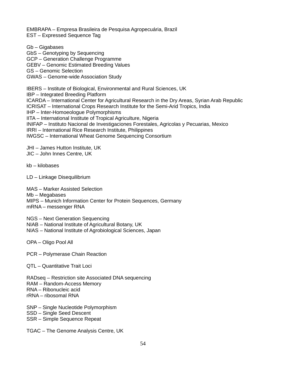EMBRAPA – Empresa Brasileira de Pesquisa Agropecuária, Brazil EST – Expressed Sequence Tag

Gb – Gigabases GbS – Genotyping by Sequencing GCP – Generation Challenge Programme GEBV – Genomic Estimated Breeding Values GS – Genomic Selection GWAS – Genome-wide Association Study

IBERS – Institute of Biological, Environmental and Rural Sciences, UK IBP – Integrated Breeding Platform ICARDA – International Center for Agricultural Research in the Dry Areas, Syrian Arab Republic ICRISAT – International Crops Research Institute for the Semi-Arid Tropics, India IHP – Inter-Homoeologue Polymorphisms IITA – International Institute of Tropical Agriculture, Nigeria INIFAP – Instituto Nacional de Investigaciones Forestales, Agricolas y Pecuarias, Mexico IRRI – International Rice Research Institute, Philippines IWGSC – International Wheat Genome Sequencing Consortium

JHI – James Hutton Institute, UK

JIC – John Innes Centre, UK

kb – kilobases

LD – Linkage Disequilibrium

MAS – Marker Assisted Selection

Mb – Megabases

MIPS – Munich Information Center for Protein Sequences, Germany

mRNA – messenger RNA

NGS – Next Generation Sequencing

NIAB – National Institute of Agricultural Botany, UK

NIAS – National Institute of Agrobiological Sciences, Japan

OPA – Oligo Pool All

PCR – Polymerase Chain Reaction

QTL – Quantitative Trait Loci

RADseq – Restriction site Associated DNA sequencing RAM – Random-Access Memory RNA – Ribonucleic acid rRNA – ribosomal RNA

SNP – Single Nucleotide Polymorphism

SSD – Single Seed Descent

SSR – Simple Sequence Repeat

TGAC – The Genome Analysis Centre, UK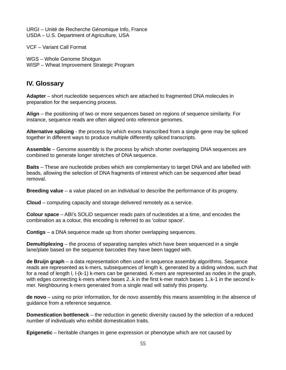URGI – Unité de Recherche Génomique Info, France USDA – U.S. Department of Agriculture, USA

VCF – Variant Call Format

WGS – Whole Genome Shotgun WISP – Wheat Improvement Strategic Program

### **IV. Glossary**

**Adapter** – short nucleotide sequences which are attached to fragmented DNA molecules in preparation for the sequencing process.

**Align** – the positioning of two or more sequences based on regions of sequence similarity. For instance, sequence reads are often aligned onto reference genomes.

**Alternative splicing** - the process by which exons transcribed from a single gene may be spliced together in different ways to produce multiple differently spliced transcripts.

**Assemble** – Genome assembly is the process by which shorter overlapping DNA sequences are combined to generate longer stretches of DNA sequence.

**Baits** – These are nucleotide probes which are complementary to target DNA and are labelled with beads, allowing the selection of DNA fragments of interest which can be sequenced after bead removal.

**Breeding value** – a value placed on an individual to describe the performance of its progeny.

**Cloud** – computing capacity and storage delivered remotely as a service.

**Colour space** – ABI's SOLiD sequencer reads pairs of nucleotides at a time, and encodes the combination as a colour, this encoding is referred to as 'colour space'.

**Contigs** – a DNA sequence made up from shorter overlapping sequences.

**Demultiplexing** – the process of separating samples which have been sequenced in a single lane/plate based on the sequence barcodes they have been tagged with.

**de Bruijn graph** – a data representation often used in sequence assembly algorithms. Sequence reads are represented as k-mers, subsequences of length k, generated by a sliding window, such that for a read of length l, l-(k-1) k-mers can be generated. K-mers are represented as nodes in the graph, with edges connecting k-mers where bases 2..k in the first k-mer match bases 1..k-1 in the second kmer. Neighbouring k-mers generated from a single read will satisfy this property.

**de novo** – using no prior information, for de novo assembly this means assembling in the absence of guidance from a reference sequence.

**Domestication bottleneck** – the reduction in genetic diversity caused by the selection of a reduced number of individuals who exhibit domestication traits.

**Epigenetic** – heritable changes in gene expression or phenotype which are not caused by